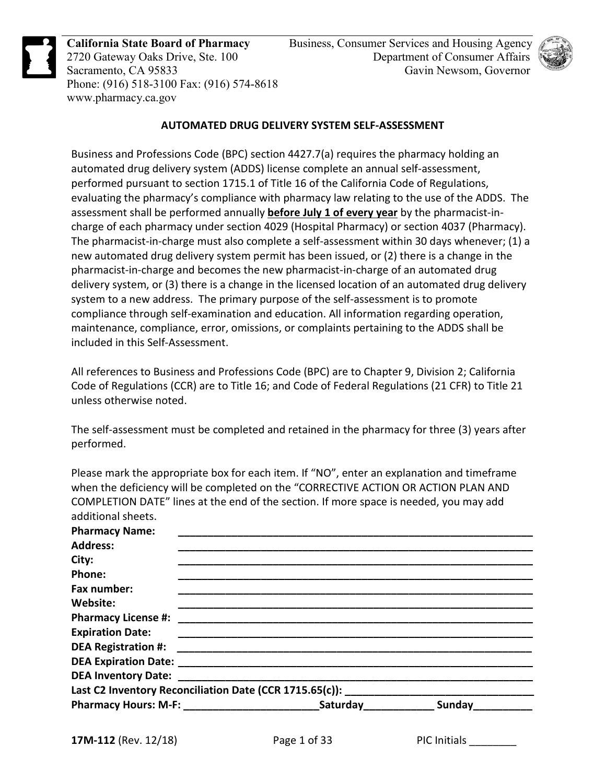

**California State Board of Pharmacy**  2720 Gateway Oaks Drive, Ste. 100 Sacramento, CA 95833 Phone: (916) 518-3100 Fax: (916) 574-8618 www.pharmacy.ca.gov



### **AUTOMATED DRUG DELIVERY SYSTEM SELF-ASSESSMENT**

Business and Professions Code (BPC) section 4427.7(a) requires the pharmacy holding an automated drug delivery system (ADDS) license complete an annual self-assessment, performed pursuant to section 1715.1 of Title 16 of the California Code of Regulations, evaluating the pharmacy's compliance with pharmacy law relating to the use of the ADDS. The assessment shall be performed annually **before July 1 of every year** by the pharmacist-incharge of each pharmacy under section 4029 (Hospital Pharmacy) or section 4037 (Pharmacy). The pharmacist-in-charge must also complete a self-assessment within 30 days whenever; (1) a new automated drug delivery system permit has been issued, or (2) there is a change in the pharmacist-in-charge and becomes the new pharmacist-in-charge of an automated drug delivery system, or (3) there is a change in the licensed location of an automated drug delivery system to a new address. The primary purpose of the self-assessment is to promote compliance through self-examination and education. All information regarding operation, maintenance, compliance, error, omissions, or complaints pertaining to the ADDS shall be included in this Self-Assessment.

All references to Business and Professions Code (BPC) are to Chapter 9, Division 2; California Code of Regulations (CCR) are to Title 16; and Code of Federal Regulations (21 CFR) to Title 21 unless otherwise noted.

The self-assessment must be completed and retained in the pharmacy for three (3) years after performed.

Please mark the appropriate box for each item. If "NO", enter an explanation and timeframe when the deficiency will be completed on the "CORRECTIVE ACTION OR ACTION PLAN AND COMPLETION DATE" lines at the end of the section. If more space is needed, you may add additional sheets.

| Pharmacy Hours: M-F: _________________________________Saturday__________________ Sunday____ |
|---------------------------------------------------------------------------------------------|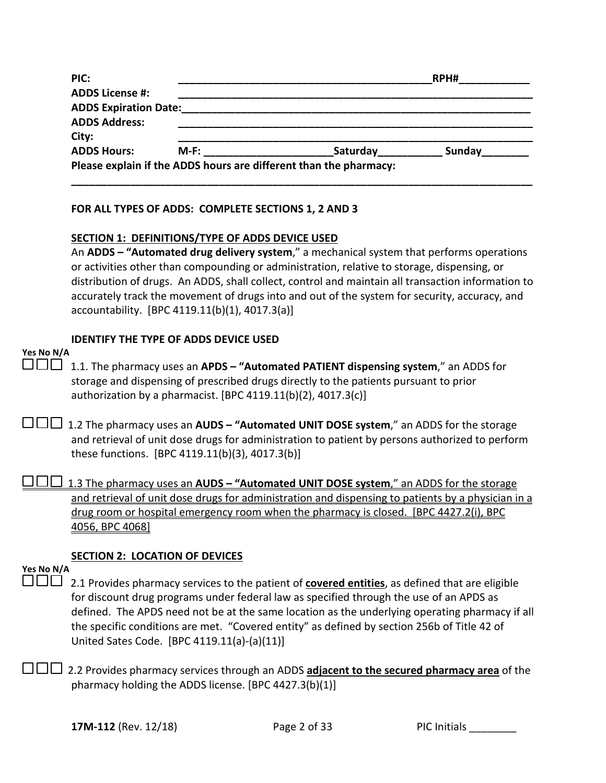| PIC:                         |      |                                                                   | RPH#   |  |
|------------------------------|------|-------------------------------------------------------------------|--------|--|
| <b>ADDS License #:</b>       |      |                                                                   |        |  |
| <b>ADDS Expiration Date:</b> |      |                                                                   |        |  |
| <b>ADDS Address:</b>         |      |                                                                   |        |  |
| City:                        |      |                                                                   |        |  |
| <b>ADDS Hours:</b>           | M-F: | Saturday                                                          | Sunday |  |
|                              |      | Please explain if the ADDS hours are different than the pharmacy: |        |  |

#### **FOR ALL TYPES OF ADDS: COMPLETE SECTIONS 1, 2 AND 3**

#### **SECTION 1: DEFINITIONS/TYPE OF ADDS DEVICE USED**

 An **ADDS – "Automated drug delivery system**," a mechanical system that performs operations or activities other than compounding or administration, relative to storage, dispensing, or distribution of drugs. An ADDS, shall collect, control and maintain all transaction information to accurately track the movement of drugs into and out of the system for security, accuracy, and accountability. [BPC 4119.11(b)(1), 4017.3(a)]

### **IDENTIFY THE TYPE OF ADDS DEVICE USED**

### **Yes No N/A**

 1.1. The pharmacy uses an **APDS – "Automated PATIENT dispensing system**," an ADDS for storage and dispensing of prescribed drugs directly to the patients pursuant to prior authorization by a pharmacist. [BPC  $4119.11(b)(2)$ ,  $4017.3(c)$ ]

 1.2 The pharmacy uses an **AUDS – "Automated UNIT DOSE system**," an ADDS for the storage and retrieval of unit dose drugs for administration to patient by persons authorized to perform these functions. [BPC 4119.11(b)(3), 4017.3(b)]

 1.3 The pharmacy uses an **AUDS – "Automated UNIT DOSE system**," an ADDS for the storage and retrieval of unit dose drugs for administration and dispensing to patients by a physician in a drug room or hospital emergency room when the pharmacy is closed. [BPC 4427.2(i), BPC 4056, BPC 4068]

#### **SECTION 2: LOCATION OF DEVICES**

### **Yes No N/A**

□□□ 2.1 Provides pharmacy services to the patient of **covered entities**, as defined that are eligible for discount drug programs under federal law as specified through the use of an APDS as defined. The APDS need not be at the same location as the underlying operating pharmacy if all the specific conditions are met. "Covered entity" as defined by section 256b of Title 42 of United Sates Code. [BPC 4119.11(a)-(a)(11)]

□□□ 2.2 Provides pharmacy services through an ADDS **adjacent to the secured pharmacy area** of the pharmacy holding the ADDS license. [BPC 4427.3(b)(1)]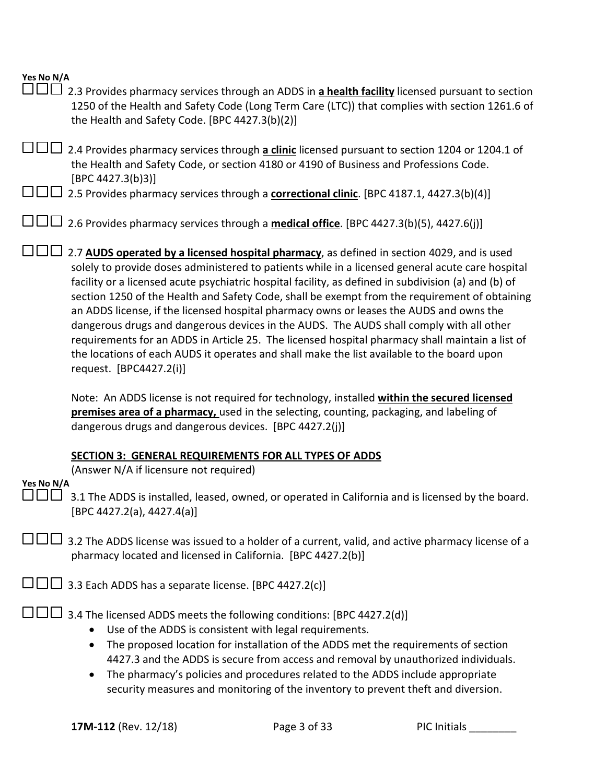| Yes No N/A<br>$\Box$<br>2.3 Provides pharmacy services through an ADDS in a health facility licensed pursuant to section<br>1250 of the Health and Safety Code (Long Term Care (LTC)) that complies with section 1261.6 of<br>the Health and Safety Code. [BPC 4427.3(b)(2)]                                                                                                                                                                                                                                                                                                                                                                                                                                                                                                                                              |
|---------------------------------------------------------------------------------------------------------------------------------------------------------------------------------------------------------------------------------------------------------------------------------------------------------------------------------------------------------------------------------------------------------------------------------------------------------------------------------------------------------------------------------------------------------------------------------------------------------------------------------------------------------------------------------------------------------------------------------------------------------------------------------------------------------------------------|
| 2.4 Provides pharmacy services through a clinic licensed pursuant to section 1204 or 1204.1 of<br>the Health and Safety Code, or section 4180 or 4190 of Business and Professions Code.<br>[BPC 4427.3(b)3]                                                                                                                                                                                                                                                                                                                                                                                                                                                                                                                                                                                                               |
| 2.5 Provides pharmacy services through a <b>correctional clinic</b> . [BPC 4187.1, 4427.3(b)(4)]                                                                                                                                                                                                                                                                                                                                                                                                                                                                                                                                                                                                                                                                                                                          |
| 2.6 Provides pharmacy services through a medical office. [BPC 4427.3(b)(5), 4427.6(j)]                                                                                                                                                                                                                                                                                                                                                                                                                                                                                                                                                                                                                                                                                                                                    |
| 2.7 AUDS operated by a licensed hospital pharmacy, as defined in section 4029, and is used<br>solely to provide doses administered to patients while in a licensed general acute care hospital<br>facility or a licensed acute psychiatric hospital facility, as defined in subdivision (a) and (b) of<br>section 1250 of the Health and Safety Code, shall be exempt from the requirement of obtaining<br>an ADDS license, if the licensed hospital pharmacy owns or leases the AUDS and owns the<br>dangerous drugs and dangerous devices in the AUDS. The AUDS shall comply with all other<br>requirements for an ADDS in Article 25. The licensed hospital pharmacy shall maintain a list of<br>the locations of each AUDS it operates and shall make the list available to the board upon<br>request. [BPC4427.2(i)] |
| Note: An ADDS license is not required for technology, installed within the secured licensed<br>premises area of a pharmacy, used in the selecting, counting, packaging, and labeling of<br>dangerous drugs and dangerous devices. [BPC 4427.2(j)]                                                                                                                                                                                                                                                                                                                                                                                                                                                                                                                                                                         |
| SECTION 3: GENERAL REQUIREMENTS FOR ALL TYPES OF ADDS<br>(Answer N/A if licensure not required)                                                                                                                                                                                                                                                                                                                                                                                                                                                                                                                                                                                                                                                                                                                           |
| Yes No N/A<br>3.1 The ADDS is installed, leased, owned, or operated in California and is licensed by the board.<br>[BPC 4427.2(a), 4427.4(a)]                                                                                                                                                                                                                                                                                                                                                                                                                                                                                                                                                                                                                                                                             |
| 3.2 The ADDS license was issued to a holder of a current, valid, and active pharmacy license of a<br>pharmacy located and licensed in California. [BPC 4427.2(b)]                                                                                                                                                                                                                                                                                                                                                                                                                                                                                                                                                                                                                                                         |
| 3.3 Each ADDS has a separate license. [BPC 4427.2(c)]                                                                                                                                                                                                                                                                                                                                                                                                                                                                                                                                                                                                                                                                                                                                                                     |
| 3.4 The licensed ADDS meets the following conditions: [BPC 4427.2(d)]<br>Use of the ADDS is consistent with legal requirements.<br>The proposed location for installation of the ADDS met the requirements of section<br>4427.3 and the ADDS is secure from access and removal by unauthorized individuals.<br>The pharmacy's policies and procedures related to the ADDS include appropriate<br>security measures and monitoring of the inventory to prevent theft and diversion.                                                                                                                                                                                                                                                                                                                                        |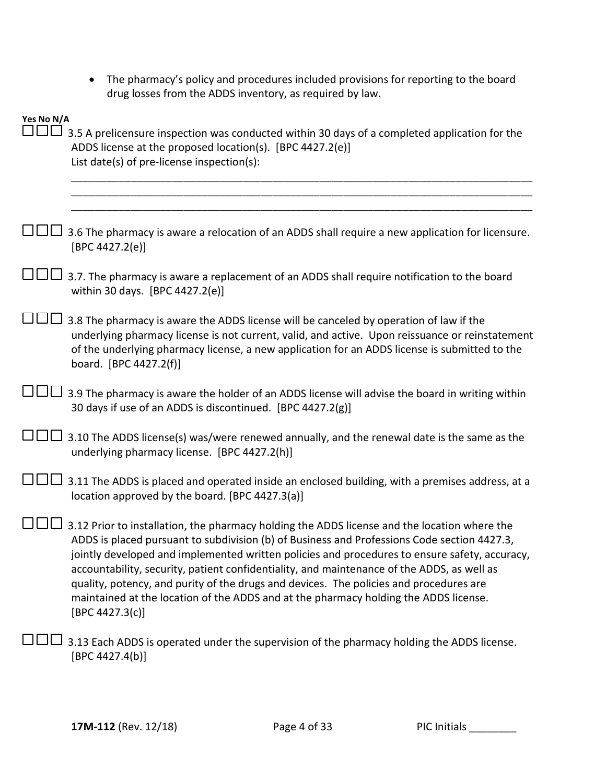| • The pharmacy's policy and procedures included provisions for reporting to the board |
|---------------------------------------------------------------------------------------|
| drug losses from the ADDS inventory, as required by law.                              |

| Yes No N/A<br>$\blacksquare$ | 3.5 A prelicensure inspection was conducted within 30 days of a completed application for the<br>ADDS license at the proposed location(s). [BPC 4427.2(e)]<br>List date(s) of pre-license inspection(s):                                                                                                                                                                                                                                                                                                                                                                                        |
|------------------------------|-------------------------------------------------------------------------------------------------------------------------------------------------------------------------------------------------------------------------------------------------------------------------------------------------------------------------------------------------------------------------------------------------------------------------------------------------------------------------------------------------------------------------------------------------------------------------------------------------|
|                              |                                                                                                                                                                                                                                                                                                                                                                                                                                                                                                                                                                                                 |
|                              | 3.6 The pharmacy is aware a relocation of an ADDS shall require a new application for licensure.<br>[BPC 4427.2(e)]                                                                                                                                                                                                                                                                                                                                                                                                                                                                             |
|                              | 3.7. The pharmacy is aware a replacement of an ADDS shall require notification to the board<br>within 30 days. [BPC 4427.2(e)]                                                                                                                                                                                                                                                                                                                                                                                                                                                                  |
|                              | 3.8 The pharmacy is aware the ADDS license will be canceled by operation of law if the<br>underlying pharmacy license is not current, valid, and active. Upon reissuance or reinstatement<br>of the underlying pharmacy license, a new application for an ADDS license is submitted to the<br>board. [BPC 4427.2(f)]                                                                                                                                                                                                                                                                            |
|                              | 3.9 The pharmacy is aware the holder of an ADDS license will advise the board in writing within<br>30 days if use of an ADDS is discontinued. [BPC 4427.2(g)]                                                                                                                                                                                                                                                                                                                                                                                                                                   |
|                              | 3.10 The ADDS license(s) was/were renewed annually, and the renewal date is the same as the<br>underlying pharmacy license. [BPC 4427.2(h)]                                                                                                                                                                                                                                                                                                                                                                                                                                                     |
|                              | 3.11 The ADDS is placed and operated inside an enclosed building, with a premises address, at a<br>location approved by the board. [BPC 4427.3(a)]                                                                                                                                                                                                                                                                                                                                                                                                                                              |
|                              | 3.12 Prior to installation, the pharmacy holding the ADDS license and the location where the<br>ADDS is placed pursuant to subdivision (b) of Business and Professions Code section 4427.3,<br>jointly developed and implemented written policies and procedures to ensure safety, accuracy,<br>accountability, security, patient confidentiality, and maintenance of the ADDS, as well as<br>quality, potency, and purity of the drugs and devices. The policies and procedures are<br>maintained at the location of the ADDS and at the pharmacy holding the ADDS license.<br>[BPC 4427.3(c)] |
|                              | 3.13 Each ADDS is operated under the supervision of the pharmacy holding the ADDS license.<br>[BPC 4427.4(b)]                                                                                                                                                                                                                                                                                                                                                                                                                                                                                   |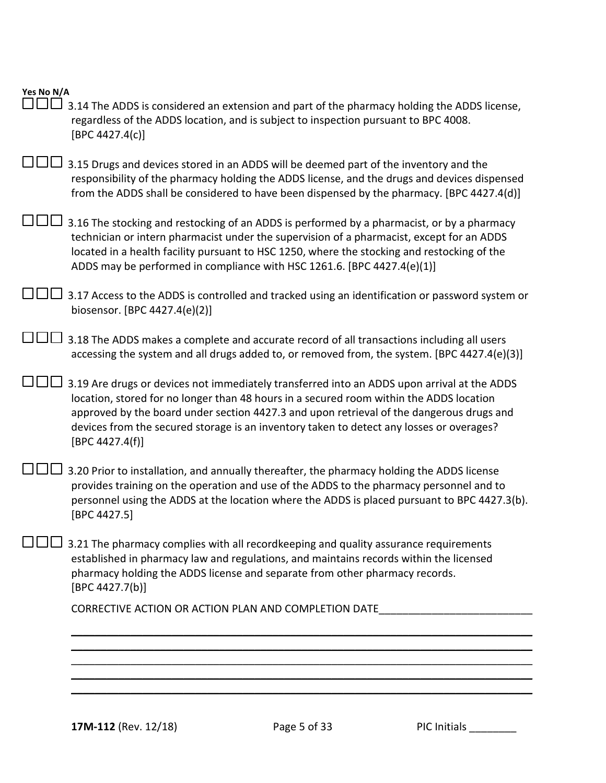| Yes No N/A |                                                                                                                                                                                                                                                                                                                                                                                                   |
|------------|---------------------------------------------------------------------------------------------------------------------------------------------------------------------------------------------------------------------------------------------------------------------------------------------------------------------------------------------------------------------------------------------------|
|            | 3.14 The ADDS is considered an extension and part of the pharmacy holding the ADDS license,<br>regardless of the ADDS location, and is subject to inspection pursuant to BPC 4008.<br>[BPC 4427.4(c)]                                                                                                                                                                                             |
|            | 3.15 Drugs and devices stored in an ADDS will be deemed part of the inventory and the<br>responsibility of the pharmacy holding the ADDS license, and the drugs and devices dispensed<br>from the ADDS shall be considered to have been dispensed by the pharmacy. [BPC 4427.4(d)]                                                                                                                |
|            | 3.16 The stocking and restocking of an ADDS is performed by a pharmacist, or by a pharmacy<br>technician or intern pharmacist under the supervision of a pharmacist, except for an ADDS<br>located in a health facility pursuant to HSC 1250, where the stocking and restocking of the<br>ADDS may be performed in compliance with HSC 1261.6. [BPC 4427.4(e)(1)]                                 |
|            | 3.17 Access to the ADDS is controlled and tracked using an identification or password system or<br>biosensor. [BPC 4427.4(e)(2)]                                                                                                                                                                                                                                                                  |
|            | 3.18 The ADDS makes a complete and accurate record of all transactions including all users<br>accessing the system and all drugs added to, or removed from, the system. [BPC 4427.4(e)(3)]                                                                                                                                                                                                        |
|            | 3.19 Are drugs or devices not immediately transferred into an ADDS upon arrival at the ADDS<br>location, stored for no longer than 48 hours in a secured room within the ADDS location<br>approved by the board under section 4427.3 and upon retrieval of the dangerous drugs and<br>devices from the secured storage is an inventory taken to detect any losses or overages?<br>[BPC 4427.4(f)] |
|            | 3.20 Prior to installation, and annually thereafter, the pharmacy holding the ADDS license<br>provides training on the operation and use of the ADDS to the pharmacy personnel and to<br>personnel using the ADDS at the location where the ADDS is placed pursuant to BPC 4427.3(b).<br>[BPC 4427.5]                                                                                             |
|            | 3.21 The pharmacy complies with all recordkeeping and quality assurance requirements<br>established in pharmacy law and regulations, and maintains records within the licensed<br>pharmacy holding the ADDS license and separate from other pharmacy records.<br>[BPC 4427.7(b)]                                                                                                                  |
|            | CORRECTIVE ACTION OR ACTION PLAN AND COMPLETION DATE                                                                                                                                                                                                                                                                                                                                              |
|            |                                                                                                                                                                                                                                                                                                                                                                                                   |
|            |                                                                                                                                                                                                                                                                                                                                                                                                   |
|            |                                                                                                                                                                                                                                                                                                                                                                                                   |
|            |                                                                                                                                                                                                                                                                                                                                                                                                   |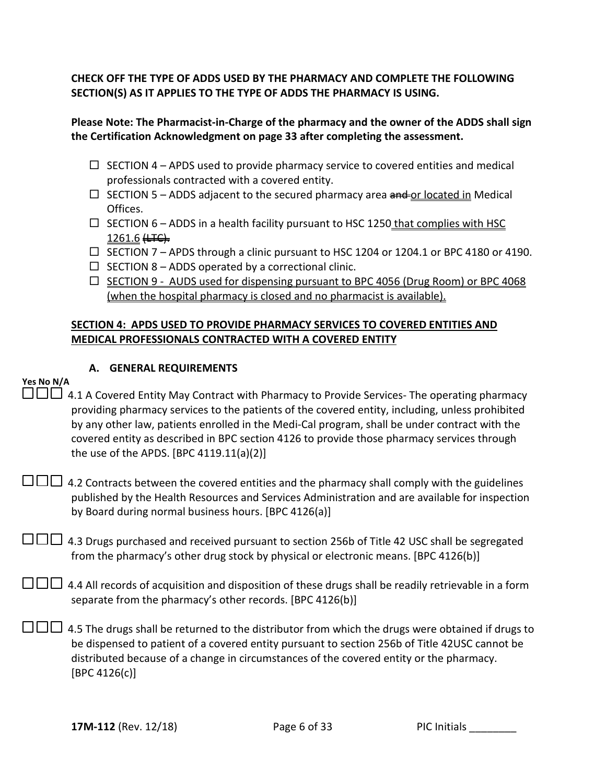**CHECK OFF THE TYPE OF ADDS USED BY THE PHARMACY AND COMPLETE THE FOLLOWING SECTION(S) AS IT APPLIES TO THE TYPE OF ADDS THE PHARMACY IS USING.** 

### **Please Note: The Pharmacist-in-Charge of the pharmacy and the owner of the ADDS shall sign the Certification Acknowledgment on page 33 after completing the assessment.**

- $\Box$  SECTION 4 APDS used to provide pharmacy service to covered entities and medical professionals contracted with a covered entity.
- $\Box$  SECTION 5 ADDS adjacent to the secured pharmacy area and or located in Medical Offices.
- $\Box$  SECTION 6 ADDS in a health facility pursuant to HSC 1250 that complies with HSC  $1261.6 \leftrightarrow$
- $\Box$  SECTION 7 APDS through a clinic pursuant to HSC 1204 or 1204.1 or BPC 4180 or 4190.
- $\Box$  SECTION 8 ADDS operated by a correctional clinic.
- $\Box$  SECTION 9 AUDS used for dispensing pursuant to BPC 4056 (Drug Room) or BPC 4068 (when the hospital pharmacy is closed and no pharmacist is available).

### **SECTION 4: APDS USED TO PROVIDE PHARMACY SERVICES TO COVERED ENTITIES AND MEDICAL PROFESSIONALS CONTRACTED WITH A COVERED ENTITY**

### **A. GENERAL REQUIREMENTS**

### **Yes No N/A**

 4.1 A Covered Entity May Contract with Pharmacy to Provide Services- The operating pharmacy providing pharmacy services to the patients of the covered entity, including, unless prohibited by any other law, patients enrolled in the Medi-Cal program, shall be under contract with the covered entity as described in BPC section 4126 to provide those pharmacy services through the use of the APDS. [BPC 4119.11(a)(2)]

 $\square \square \square$  4.2 Contracts between the covered entities and the pharmacy shall comply with the guidelines published by the Health Resources and Services Administration and are available for inspection by Board during normal business hours. [BPC 4126(a)]

 $\square \square \square$  4.3 Drugs purchased and received pursuant to section 256b of Title 42 USC shall be segregated from the pharmacy's other drug stock by physical or electronic means. [BPC 4126(b)]

 $\Box$  $\Box$  4.4 All records of acquisition and disposition of these drugs shall be readily retrievable in a form separate from the pharmacy's other records. [BPC 4126(b)]

 $\square \square \square$  4.5 The drugs shall be returned to the distributor from which the drugs were obtained if drugs to be dispensed to patient of a covered entity pursuant to section 256b of Title 42USC cannot be distributed because of a change in circumstances of the covered entity or the pharmacy. [BPC 4126(c)]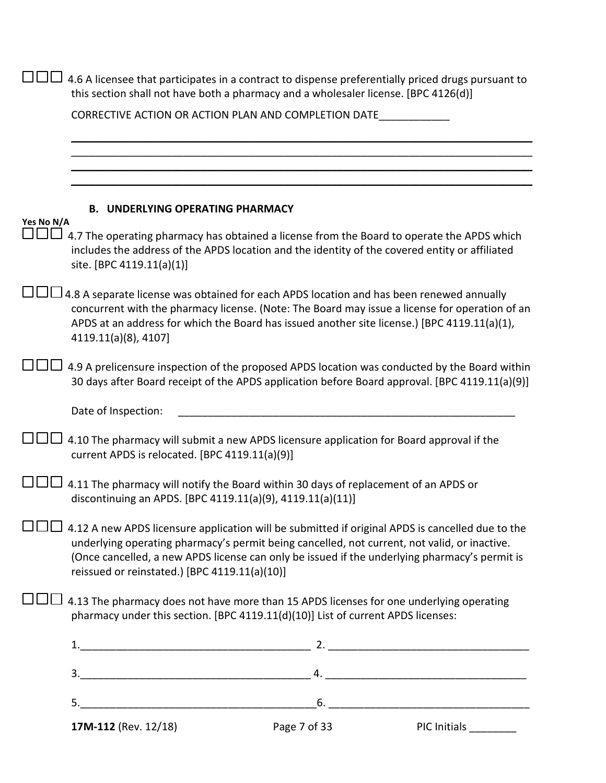|            | 17M-112 (Rev. 12/18)                           | Page 7 of 33                                                                                                                                                                                                                                                                                      | PIC Initials |
|------------|------------------------------------------------|---------------------------------------------------------------------------------------------------------------------------------------------------------------------------------------------------------------------------------------------------------------------------------------------------|--------------|
|            |                                                |                                                                                                                                                                                                                                                                                                   |              |
|            |                                                |                                                                                                                                                                                                                                                                                                   |              |
|            |                                                |                                                                                                                                                                                                                                                                                                   |              |
|            |                                                | 4.13 The pharmacy does not have more than 15 APDS licenses for one underlying operating<br>pharmacy under this section. [BPC 4119.11(d)(10)] List of current APDS licenses:                                                                                                                       |              |
|            | reissued or reinstated.) [BPC 4119.11(a)(10)]  | 4.12 A new APDS licensure application will be submitted if original APDS is cancelled due to the<br>underlying operating pharmacy's permit being cancelled, not current, not valid, or inactive.<br>(Once cancelled, a new APDS license can only be issued if the underlying pharmacy's permit is |              |
|            |                                                | 4.11 The pharmacy will notify the Board within 30 days of replacement of an APDS or<br>discontinuing an APDS. [BPC 4119.11(a)(9), 4119.11(a)(11)]                                                                                                                                                 |              |
|            | current APDS is relocated. [BPC 4119.11(a)(9)] | 4.10 The pharmacy will submit a new APDS licensure application for Board approval if the                                                                                                                                                                                                          |              |
|            | Date of Inspection:                            |                                                                                                                                                                                                                                                                                                   |              |
|            |                                                | 4.9 A prelicensure inspection of the proposed APDS location was conducted by the Board within<br>30 days after Board receipt of the APDS application before Board approval. [BPC 4119.11(a)(9)]                                                                                                   |              |
|            | 4119.11(a)(8), 4107]                           | 4.8 A separate license was obtained for each APDS location and has been renewed annually<br>concurrent with the pharmacy license. (Note: The Board may issue a license for operation of an<br>APDS at an address for which the Board has issued another site license.) [BPC 4119.11(a)(1),        |              |
|            | site. [BPC 4119.11(a)(1)]                      | 4.7 The operating pharmacy has obtained a license from the Board to operate the APDS which<br>includes the address of the APDS location and the identity of the covered entity or affiliated                                                                                                      |              |
| Yes No N/A | <b>B. UNDERLYING OPERATING PHARMACY</b>        |                                                                                                                                                                                                                                                                                                   |              |
|            |                                                |                                                                                                                                                                                                                                                                                                   |              |
|            |                                                |                                                                                                                                                                                                                                                                                                   |              |
|            |                                                | this section shall not have both a pharmacy and a wholesaler license. [BPC 4126(d)]<br>CORRECTIVE ACTION OR ACTION PLAN AND COMPLETION DATE                                                                                                                                                       |              |
|            |                                                | 4.6 A licensee that participates in a contract to dispense preferentially priced drugs pursuant to                                                                                                                                                                                                |              |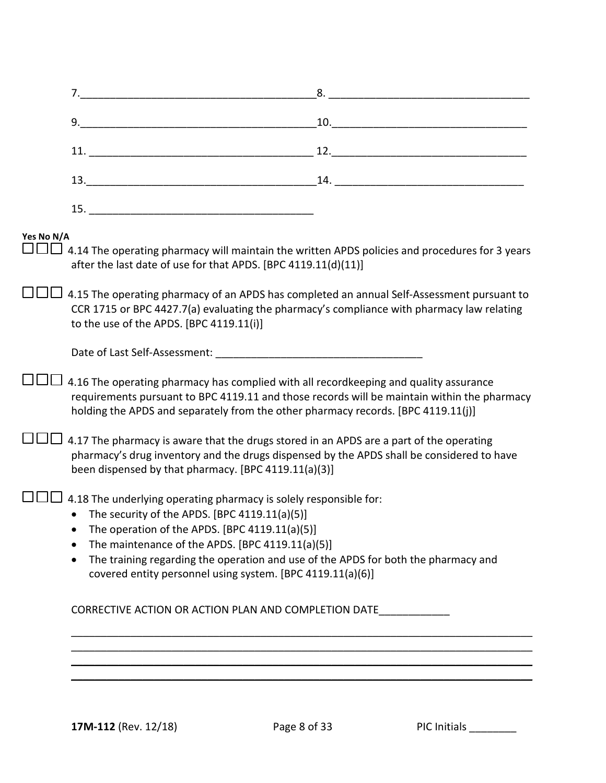|            |                                                                                                                                                                                                                                                                                                                                                                                               | 8.                                                                                                                                                                                                                                                                                                                                                           |
|------------|-----------------------------------------------------------------------------------------------------------------------------------------------------------------------------------------------------------------------------------------------------------------------------------------------------------------------------------------------------------------------------------------------|--------------------------------------------------------------------------------------------------------------------------------------------------------------------------------------------------------------------------------------------------------------------------------------------------------------------------------------------------------------|
|            |                                                                                                                                                                                                                                                                                                                                                                                               | $\begin{tabular}{c} 10. & \hspace{15.5cm} \rule{2.2cm}{0.1cm} \rule{2.2cm}{0.1cm} \rule{2.2cm}{0.1cm} \rule{2.2cm}{0.1cm} \rule{2.2cm}{0.1cm} \rule{2.2cm}{0.1cm} \rule{2.2cm}{0.1cm} \rule{2.2cm}{0.1cm} \rule{2.2cm}{0.1cm} \rule{2.2cm}{0.1cm} \rule{2.2cm}{0.1cm} \rule{2.2cm}{0.1cm} \rule{2.2cm}{0.1cm} \rule{2.2cm}{0.1cm} \rule{2.2cm}{0.1cm} \rule$ |
|            |                                                                                                                                                                                                                                                                                                                                                                                               |                                                                                                                                                                                                                                                                                                                                                              |
|            |                                                                                                                                                                                                                                                                                                                                                                                               |                                                                                                                                                                                                                                                                                                                                                              |
|            |                                                                                                                                                                                                                                                                                                                                                                                               |                                                                                                                                                                                                                                                                                                                                                              |
| Yes No N/A | 4.14 The operating pharmacy will maintain the written APDS policies and procedures for 3 years<br>after the last date of use for that APDS. [BPC 4119.11(d)(11)]                                                                                                                                                                                                                              |                                                                                                                                                                                                                                                                                                                                                              |
|            | 4.15 The operating pharmacy of an APDS has completed an annual Self-Assessment pursuant to<br>CCR 1715 or BPC 4427.7(a) evaluating the pharmacy's compliance with pharmacy law relating<br>to the use of the APDS. [BPC 4119.11(i)]                                                                                                                                                           |                                                                                                                                                                                                                                                                                                                                                              |
|            |                                                                                                                                                                                                                                                                                                                                                                                               |                                                                                                                                                                                                                                                                                                                                                              |
|            | 4.16 The operating pharmacy has complied with all recordkeeping and quality assurance<br>requirements pursuant to BPC 4119.11 and those records will be maintain within the pharmacy<br>holding the APDS and separately from the other pharmacy records. [BPC 4119.11(j)]                                                                                                                     |                                                                                                                                                                                                                                                                                                                                                              |
|            | 4.17 The pharmacy is aware that the drugs stored in an APDS are a part of the operating<br>pharmacy's drug inventory and the drugs dispensed by the APDS shall be considered to have<br>been dispensed by that pharmacy. [BPC 4119.11(a)(3)]                                                                                                                                                  |                                                                                                                                                                                                                                                                                                                                                              |
|            | 4.18 The underlying operating pharmacy is solely responsible for:<br>• The security of the APDS. [BPC 4119.11(a)(5)]<br>• The operation of the APDS. [BPC 4119.11(a)(5)]<br>The maintenance of the APDS. [BPC 4119.11(a)(5)]<br>The training regarding the operation and use of the APDS for both the pharmacy and<br>$\bullet$<br>covered entity personnel using system. [BPC 4119.11(a)(6)] |                                                                                                                                                                                                                                                                                                                                                              |
|            | CORRECTIVE ACTION OR ACTION PLAN AND COMPLETION DATE                                                                                                                                                                                                                                                                                                                                          |                                                                                                                                                                                                                                                                                                                                                              |
|            |                                                                                                                                                                                                                                                                                                                                                                                               |                                                                                                                                                                                                                                                                                                                                                              |
|            |                                                                                                                                                                                                                                                                                                                                                                                               |                                                                                                                                                                                                                                                                                                                                                              |
|            |                                                                                                                                                                                                                                                                                                                                                                                               |                                                                                                                                                                                                                                                                                                                                                              |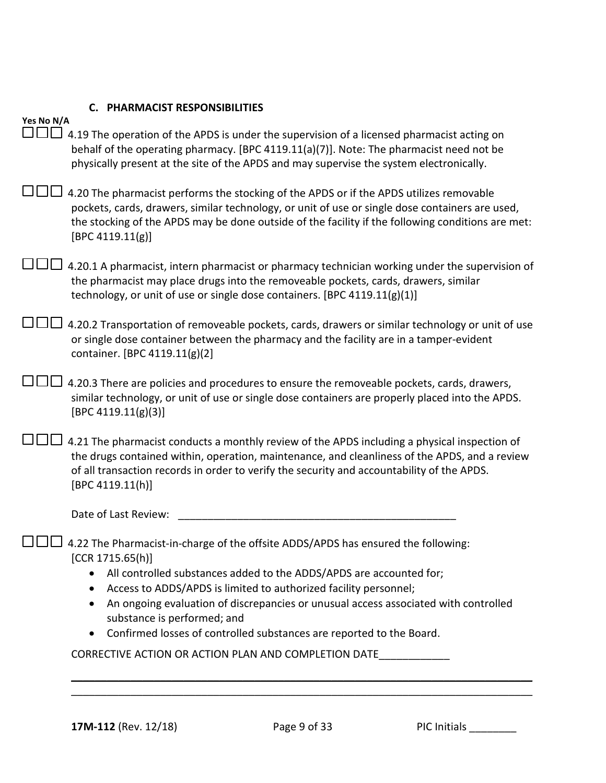|  |  |  | C. PHARMACIST RESPONSIBILITIES |
|--|--|--|--------------------------------|
|--|--|--|--------------------------------|

| Yes No N/A                                                                                                                                                                                                                                                                                                          |
|---------------------------------------------------------------------------------------------------------------------------------------------------------------------------------------------------------------------------------------------------------------------------------------------------------------------|
| a Hal<br>4.19 The operation of the APDS is under the supervision of a licensed pharmacist acting on<br>behalf of the operating pharmacy. [BPC 4119.11(a)(7)]. Note: The pharmacist need not be<br>physically present at the site of the APDS and may supervise the system electronically.                           |
| 4.20 The pharmacist performs the stocking of the APDS or if the APDS utilizes removable<br>pockets, cards, drawers, similar technology, or unit of use or single dose containers are used,<br>the stocking of the APDS may be done outside of the facility if the following conditions are met:<br>[BPC 4119.11(g)] |
| 4.20.1 A pharmacist, intern pharmacist or pharmacy technician working under the supervision of<br>the pharmacist may place drugs into the removeable pockets, cards, drawers, similar<br>technology, or unit of use or single dose containers. [BPC 4119.11(g)(1)]                                                  |
| 4.20.2 Transportation of removeable pockets, cards, drawers or similar technology or unit of use<br>or single dose container between the pharmacy and the facility are in a tamper-evident<br>container. [BPC 4119.11(g)(2]                                                                                         |
| 4.20.3 There are policies and procedures to ensure the removeable pockets, cards, drawers,<br>similar technology, or unit of use or single dose containers are properly placed into the APDS.<br>[BPC 4119.11(g)(3)]                                                                                                |
| 4.21 The pharmacist conducts a monthly review of the APDS including a physical inspection of<br>the drugs contained within, operation, maintenance, and cleanliness of the APDS, and a review<br>of all transaction records in order to verify the security and accountability of the APDS.<br>[BPC 4119.11(h)]     |
| Date of Last Review:                                                                                                                                                                                                                                                                                                |
| 4.22 The Pharmacist-in-charge of the offsite ADDS/APDS has ensured the following:<br>[CCR 1715.65(h)]                                                                                                                                                                                                               |
| All controlled substances added to the ADDS/APDS are accounted for;                                                                                                                                                                                                                                                 |
| Access to ADDS/APDS is limited to authorized facility personnel;<br>An ongoing evaluation of discrepancies or unusual access associated with controlled                                                                                                                                                             |
| substance is performed; and                                                                                                                                                                                                                                                                                         |
| Confirmed losses of controlled substances are reported to the Board.                                                                                                                                                                                                                                                |
| CORRECTIVE ACTION OR ACTION PLAN AND COMPLETION DATE                                                                                                                                                                                                                                                                |
|                                                                                                                                                                                                                                                                                                                     |
|                                                                                                                                                                                                                                                                                                                     |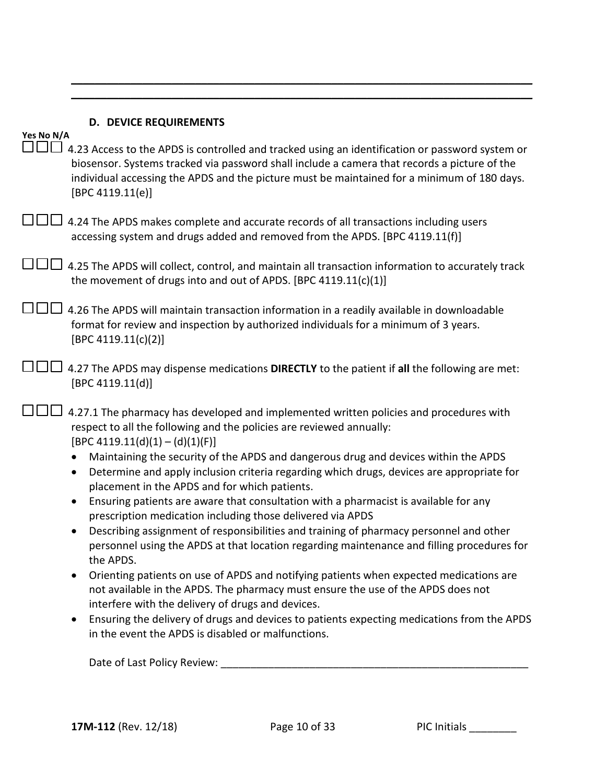| Yes No N/A | <b>D. DEVICE REQUIREMENTS</b>                                                                                                                                                                                                                                                                                                                                                                                                                                                                                                                                                                                                                                                                                                                                                                                                                                                                                                                                                                                                                                                                                                                                                                                                                                                              |
|------------|--------------------------------------------------------------------------------------------------------------------------------------------------------------------------------------------------------------------------------------------------------------------------------------------------------------------------------------------------------------------------------------------------------------------------------------------------------------------------------------------------------------------------------------------------------------------------------------------------------------------------------------------------------------------------------------------------------------------------------------------------------------------------------------------------------------------------------------------------------------------------------------------------------------------------------------------------------------------------------------------------------------------------------------------------------------------------------------------------------------------------------------------------------------------------------------------------------------------------------------------------------------------------------------------|
|            | 4.23 Access to the APDS is controlled and tracked using an identification or password system or<br>biosensor. Systems tracked via password shall include a camera that records a picture of the<br>individual accessing the APDS and the picture must be maintained for a minimum of 180 days.<br>[BPC 4119.11(e)]                                                                                                                                                                                                                                                                                                                                                                                                                                                                                                                                                                                                                                                                                                                                                                                                                                                                                                                                                                         |
|            | 4.24 The APDS makes complete and accurate records of all transactions including users<br>accessing system and drugs added and removed from the APDS. [BPC 4119.11(f)]                                                                                                                                                                                                                                                                                                                                                                                                                                                                                                                                                                                                                                                                                                                                                                                                                                                                                                                                                                                                                                                                                                                      |
|            | 4.25 The APDS will collect, control, and maintain all transaction information to accurately track<br>the movement of drugs into and out of APDS. [BPC 4119.11(c)(1)]                                                                                                                                                                                                                                                                                                                                                                                                                                                                                                                                                                                                                                                                                                                                                                                                                                                                                                                                                                                                                                                                                                                       |
|            | 4.26 The APDS will maintain transaction information in a readily available in downloadable<br>format for review and inspection by authorized individuals for a minimum of 3 years.<br>[BPC 4119.11(c)(2)]                                                                                                                                                                                                                                                                                                                                                                                                                                                                                                                                                                                                                                                                                                                                                                                                                                                                                                                                                                                                                                                                                  |
|            | 4.27 The APDS may dispense medications DIRECTLY to the patient if all the following are met:<br>[BPC 4119.11(d)]                                                                                                                                                                                                                                                                                                                                                                                                                                                                                                                                                                                                                                                                                                                                                                                                                                                                                                                                                                                                                                                                                                                                                                           |
|            | 4.27.1 The pharmacy has developed and implemented written policies and procedures with<br>respect to all the following and the policies are reviewed annually:<br>$[BPC 4119.11(d)(1) - (d)(1)(F)]$<br>Maintaining the security of the APDS and dangerous drug and devices within the APDS<br>$\bullet$<br>Determine and apply inclusion criteria regarding which drugs, devices are appropriate for<br>$\bullet$<br>placement in the APDS and for which patients.<br>Ensuring patients are aware that consultation with a pharmacist is available for any<br>$\bullet$<br>prescription medication including those delivered via APDS<br>Describing assignment of responsibilities and training of pharmacy personnel and other<br>personnel using the APDS at that location regarding maintenance and filling procedures for<br>the APDS.<br>Orienting patients on use of APDS and notifying patients when expected medications are<br>$\bullet$<br>not available in the APDS. The pharmacy must ensure the use of the APDS does not<br>interfere with the delivery of drugs and devices.<br>Ensuring the delivery of drugs and devices to patients expecting medications from the APDS<br>$\bullet$<br>in the event the APDS is disabled or malfunctions.<br>Date of Last Policy Review: |
|            |                                                                                                                                                                                                                                                                                                                                                                                                                                                                                                                                                                                                                                                                                                                                                                                                                                                                                                                                                                                                                                                                                                                                                                                                                                                                                            |

 $\mathcal{L}_\mathcal{L} = \mathcal{L}_\mathcal{L} = \mathcal{L}_\mathcal{L} = \mathcal{L}_\mathcal{L} = \mathcal{L}_\mathcal{L} = \mathcal{L}_\mathcal{L} = \mathcal{L}_\mathcal{L} = \mathcal{L}_\mathcal{L} = \mathcal{L}_\mathcal{L} = \mathcal{L}_\mathcal{L} = \mathcal{L}_\mathcal{L} = \mathcal{L}_\mathcal{L} = \mathcal{L}_\mathcal{L} = \mathcal{L}_\mathcal{L} = \mathcal{L}_\mathcal{L} = \mathcal{L}_\mathcal{L} = \mathcal{L}_\mathcal{L}$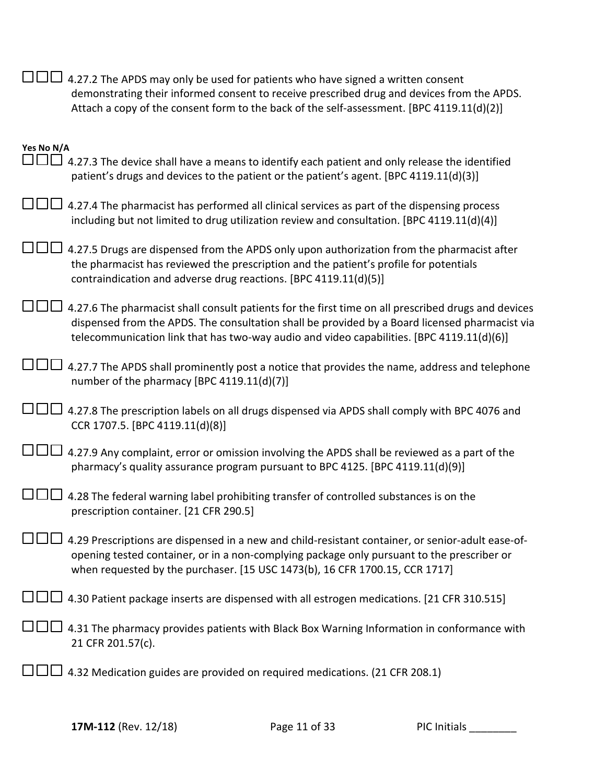|                      | 4.27.2 The APDS may only be used for patients who have signed a written consent<br>demonstrating their informed consent to receive prescribed drug and devices from the APDS.<br>Attach a copy of the consent form to the back of the self-assessment. [BPC 4119.11(d)(2)]                         |
|----------------------|----------------------------------------------------------------------------------------------------------------------------------------------------------------------------------------------------------------------------------------------------------------------------------------------------|
| Yes No N/A<br>$\Box$ | 4.27.3 The device shall have a means to identify each patient and only release the identified<br>patient's drugs and devices to the patient or the patient's agent. [BPC 4119.11(d)(3)]                                                                                                            |
|                      | 4.27.4 The pharmacist has performed all clinical services as part of the dispensing process<br>including but not limited to drug utilization review and consultation. [BPC 4119.11(d)(4)]                                                                                                          |
|                      | 4.27.5 Drugs are dispensed from the APDS only upon authorization from the pharmacist after<br>the pharmacist has reviewed the prescription and the patient's profile for potentials<br>contraindication and adverse drug reactions. [BPC 4119.11(d)(5)]                                            |
|                      | 4.27.6 The pharmacist shall consult patients for the first time on all prescribed drugs and devices<br>dispensed from the APDS. The consultation shall be provided by a Board licensed pharmacist via<br>telecommunication link that has two-way audio and video capabilities. [BPC 4119.11(d)(6)] |
|                      | 4.27.7 The APDS shall prominently post a notice that provides the name, address and telephone<br>number of the pharmacy [BPC 4119.11(d)(7)]                                                                                                                                                        |
|                      | 4.27.8 The prescription labels on all drugs dispensed via APDS shall comply with BPC 4076 and<br>CCR 1707.5. [BPC 4119.11(d)(8)]                                                                                                                                                                   |
|                      | 4.27.9 Any complaint, error or omission involving the APDS shall be reviewed as a part of the<br>pharmacy's quality assurance program pursuant to BPC 4125. [BPC 4119.11(d)(9)]                                                                                                                    |
|                      | 4.28 The federal warning label prohibiting transfer of controlled substances is on the<br>prescription container. [21 CFR 290.5]                                                                                                                                                                   |
|                      | 4.29 Prescriptions are dispensed in a new and child-resistant container, or senior-adult ease-of-<br>opening tested container, or in a non-complying package only pursuant to the prescriber or<br>when requested by the purchaser. [15 USC 1473(b), 16 CFR 1700.15, CCR 1717]                     |
|                      | 4.30 Patient package inserts are dispensed with all estrogen medications. [21 CFR 310.515]                                                                                                                                                                                                         |
|                      | 4.31 The pharmacy provides patients with Black Box Warning Information in conformance with<br>21 CFR 201.57(c).                                                                                                                                                                                    |
|                      | 4.32 Medication guides are provided on required medications. (21 CFR 208.1)                                                                                                                                                                                                                        |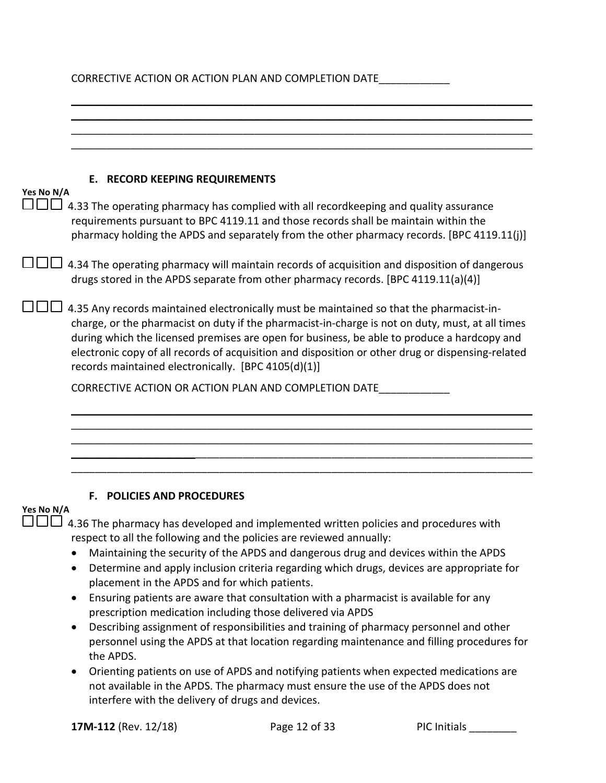# CORRECTIVE ACTION OR ACTION PLAN AND COMPLETION DATE\_\_\_\_\_\_\_\_\_\_\_\_\_

| Yes No N/A | <b>E. RECORD KEEPING REQUIREMENTS</b>                                                                                                                                                                                                                                                                                                                                                                                                                   |
|------------|---------------------------------------------------------------------------------------------------------------------------------------------------------------------------------------------------------------------------------------------------------------------------------------------------------------------------------------------------------------------------------------------------------------------------------------------------------|
|            | 4.33 The operating pharmacy has complied with all recordkeeping and quality assurance<br>requirements pursuant to BPC 4119.11 and those records shall be maintain within the<br>pharmacy holding the APDS and separately from the other pharmacy records. [BPC 4119.11(j)]                                                                                                                                                                              |
|            | 4.34 The operating pharmacy will maintain records of acquisition and disposition of dangerous<br>drugs stored in the APDS separate from other pharmacy records. [BPC 4119.11(a)(4)]                                                                                                                                                                                                                                                                     |
|            | 4.35 Any records maintained electronically must be maintained so that the pharmacist-in-<br>charge, or the pharmacist on duty if the pharmacist-in-charge is not on duty, must, at all times<br>during which the licensed premises are open for business, be able to produce a hardcopy and<br>electronic copy of all records of acquisition and disposition or other drug or dispensing-related<br>records maintained electronically. [BPC 4105(d)(1)] |
|            | CORRECTIVE ACTION OR ACTION PLAN AND COMPLETION DATE                                                                                                                                                                                                                                                                                                                                                                                                    |
|            |                                                                                                                                                                                                                                                                                                                                                                                                                                                         |
|            |                                                                                                                                                                                                                                                                                                                                                                                                                                                         |
|            |                                                                                                                                                                                                                                                                                                                                                                                                                                                         |
|            |                                                                                                                                                                                                                                                                                                                                                                                                                                                         |
|            |                                                                                                                                                                                                                                                                                                                                                                                                                                                         |
|            | F. POLICIES AND PROCEDURES                                                                                                                                                                                                                                                                                                                                                                                                                              |
| Yes No N/A |                                                                                                                                                                                                                                                                                                                                                                                                                                                         |
|            | 4.36 The pharmacy has developed and implemented written policies and procedures with                                                                                                                                                                                                                                                                                                                                                                    |
|            | respect to all the following and the policies are reviewed annually:                                                                                                                                                                                                                                                                                                                                                                                    |
|            | Maintaining the security of the APDS and dangerous drug and devices within the APDS                                                                                                                                                                                                                                                                                                                                                                     |
|            | Determine and apply inclusion criteria regarding which drugs, devices are appropriate for<br>$\bullet$<br>placement in the APDS and for which patients.                                                                                                                                                                                                                                                                                                 |
|            | Ensuring patients are aware that consultation with a pharmacist is available for any<br>$\bullet$                                                                                                                                                                                                                                                                                                                                                       |
|            | prescription medication including those delivered via APDS                                                                                                                                                                                                                                                                                                                                                                                              |
|            |                                                                                                                                                                                                                                                                                                                                                                                                                                                         |
|            | $\bullet$                                                                                                                                                                                                                                                                                                                                                                                                                                               |
|            | Describing assignment of responsibilities and training of pharmacy personnel and other<br>personnel using the APDS at that location regarding maintenance and filling procedures for<br>the APDS.                                                                                                                                                                                                                                                       |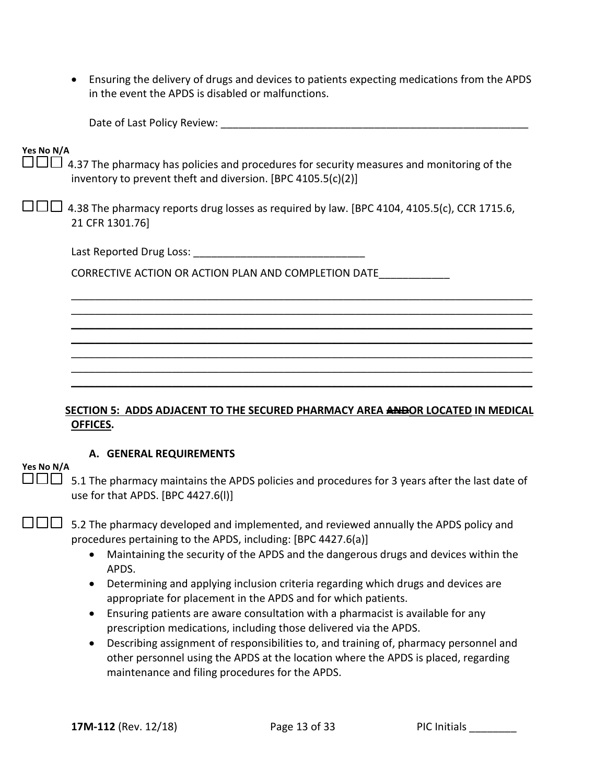• Ensuring the delivery of drugs and devices to patients expecting medications from the APDS in the event the APDS is disabled or malfunctions.

|            | Date of Last Policy Review: North and the control of the control of the control of the control of the control o                                                         |
|------------|-------------------------------------------------------------------------------------------------------------------------------------------------------------------------|
| Yes No N/A | $\Box$ $\Box$ 4.37 The pharmacy has policies and procedures for security measures and monitoring of the<br>inventory to prevent theft and diversion. [BPC 4105.5(c)(2)] |
|            | 4.38 The pharmacy reports drug losses as required by law. [BPC 4104, 4105.5(c), CCR 1715.6,<br>21 CFR 1301.76                                                           |
|            | Last Reported Drug Loss: North and Separate and Separate and Separate and Separate and Separate and Separate a                                                          |
|            | CORRECTIVE ACTION OR ACTION PLAN AND COMPLETION DATE                                                                                                                    |
|            |                                                                                                                                                                         |
|            |                                                                                                                                                                         |
|            |                                                                                                                                                                         |
|            |                                                                                                                                                                         |
|            |                                                                                                                                                                         |
|            | <b>SECTION 5: ADDS ADJACENT TO THE SECURED PHARMACY AREA ANDOR LOCATED IN MEDICAL</b><br>OFFICES.                                                                       |
|            | A. GENERAL REQUIREMENTS                                                                                                                                                 |
| Yes No N/A | 5.1 The pharmacy maintains the APDS policies and procedures for 3 years after the last date of<br>use for that APDS. [BPC 4427.6(I)]                                    |

 $\square \square \square$  5.2 The pharmacy developed and implemented, and reviewed annually the APDS policy and procedures pertaining to the APDS, including: [BPC 4427.6(a)]

- Maintaining the security of the APDS and the dangerous drugs and devices within the APDS.
- Determining and applying inclusion criteria regarding which drugs and devices are appropriate for placement in the APDS and for which patients.
- Ensuring patients are aware consultation with a pharmacist is available for any prescription medications, including those delivered via the APDS.
- Describing assignment of responsibilities to, and training of, pharmacy personnel and other personnel using the APDS at the location where the APDS is placed, regarding maintenance and filing procedures for the APDS.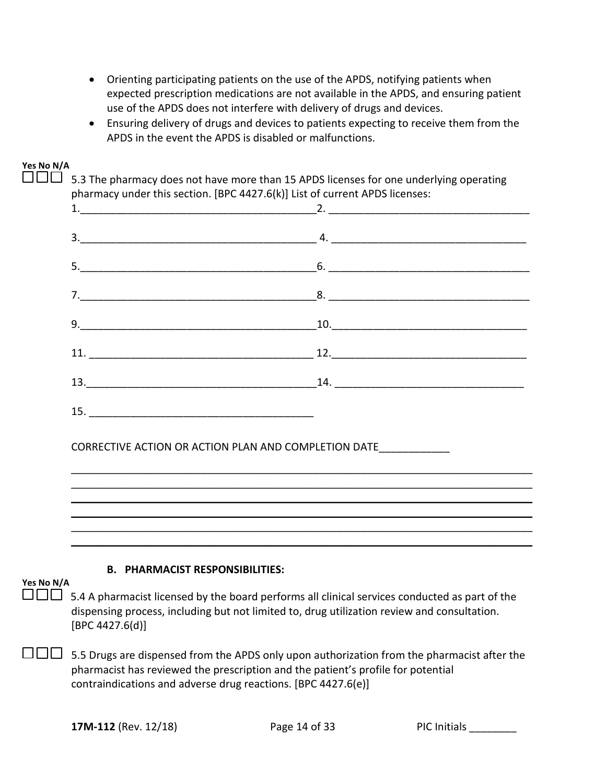- Orienting participating patients on the use of the APDS, notifying patients when expected prescription medications are not available in the APDS, and ensuring patient use of the APDS does not interfere with delivery of drugs and devices.
- Ensuring delivery of drugs and devices to patients expecting to receive them from the APDS in the event the APDS is disabled or malfunctions.

**Yes No N/A**

 $\square \square \square$  5.3 The pharmacy does not have more than 15 APDS licenses for one underlying operating pharmacy under this section. [BPC 4427.6(k)] List of current APDS licenses:

\_\_\_\_\_\_\_\_\_\_\_\_\_\_\_\_\_\_\_\_\_\_\_\_\_\_\_\_\_\_\_\_\_\_\_\_\_\_\_\_\_\_\_\_\_\_\_\_\_\_\_\_\_\_\_\_\_\_\_\_\_\_\_\_\_\_\_\_\_\_\_\_\_\_\_\_\_\_ \_\_\_\_\_\_\_\_\_\_\_\_\_\_\_\_\_\_\_\_\_\_\_\_\_\_\_\_\_\_\_\_\_\_\_\_\_\_\_\_\_\_\_\_\_\_\_\_\_\_\_\_\_\_\_\_\_\_\_\_\_\_\_\_\_\_\_\_\_\_\_\_\_\_\_\_\_\_ \_\_\_\_\_\_\_\_\_\_\_\_\_\_\_\_\_\_\_\_\_\_\_\_\_\_\_\_\_\_\_\_\_\_\_\_\_\_\_\_\_\_\_\_\_\_\_\_\_\_\_\_\_\_\_\_\_\_\_\_\_\_\_\_\_\_\_\_\_\_\_\_\_\_\_\_\_\_  $\mathcal{L}_\mathcal{L} = \mathcal{L}_\mathcal{L} = \mathcal{L}_\mathcal{L} = \mathcal{L}_\mathcal{L} = \mathcal{L}_\mathcal{L} = \mathcal{L}_\mathcal{L} = \mathcal{L}_\mathcal{L} = \mathcal{L}_\mathcal{L} = \mathcal{L}_\mathcal{L} = \mathcal{L}_\mathcal{L} = \mathcal{L}_\mathcal{L} = \mathcal{L}_\mathcal{L} = \mathcal{L}_\mathcal{L} = \mathcal{L}_\mathcal{L} = \mathcal{L}_\mathcal{L} = \mathcal{L}_\mathcal{L} = \mathcal{L}_\mathcal{L}$ 

 $\mathcal{L}_\mathcal{L} = \mathcal{L}_\mathcal{L} = \mathcal{L}_\mathcal{L} = \mathcal{L}_\mathcal{L} = \mathcal{L}_\mathcal{L} = \mathcal{L}_\mathcal{L} = \mathcal{L}_\mathcal{L} = \mathcal{L}_\mathcal{L} = \mathcal{L}_\mathcal{L} = \mathcal{L}_\mathcal{L} = \mathcal{L}_\mathcal{L} = \mathcal{L}_\mathcal{L} = \mathcal{L}_\mathcal{L} = \mathcal{L}_\mathcal{L} = \mathcal{L}_\mathcal{L} = \mathcal{L}_\mathcal{L} = \mathcal{L}_\mathcal{L}$ 

CORRECTIVE ACTION OR ACTION PLAN AND COMPLETION DATE\_\_\_\_\_\_\_\_\_\_\_\_

### **B. PHARMACIST RESPONSIBILITIES:**

 $15.$ 

 $\square \square \square$  5.4 A pharmacist licensed by the board performs all clinical services conducted as part of the dispensing process, including but not limited to, drug utilization review and consultation. [BPC 4427.6(d)]

 $\square \square \square$  5.5 Drugs are dispensed from the APDS only upon authorization from the pharmacist after the pharmacist has reviewed the prescription and the patient's profile for potential contraindications and adverse drug reactions. [BPC 4427.6(e)]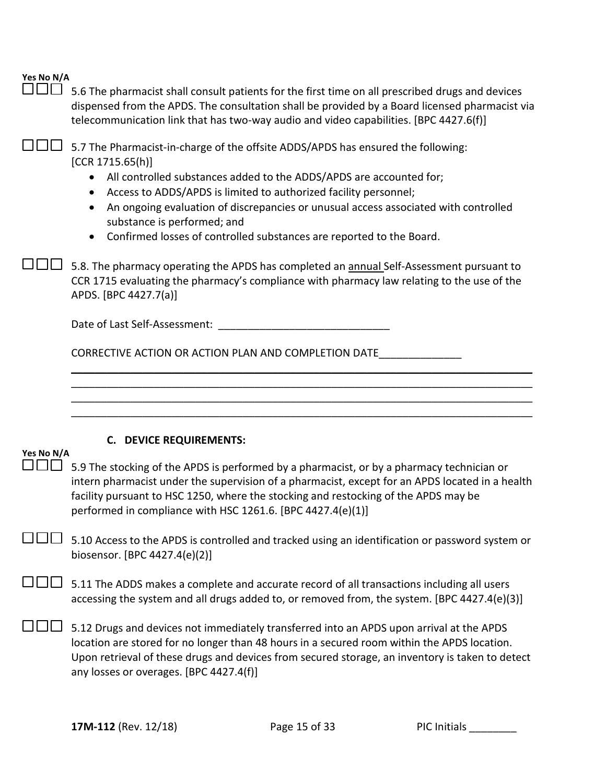$\square \square \square$  5.6 The pharmacist shall consult patients for the first time on all prescribed drugs and devices dispensed from the APDS. The consultation shall be provided by a Board licensed pharmacist via telecommunication link that has two-way audio and video capabilities. [BPC 4427.6(f)]

 $\square \square \square$  5.7 The Pharmacist-in-charge of the offsite ADDS/APDS has ensured the following: [CCR 1715.65(h)]

- All controlled substances added to the ADDS/APDS are accounted for;
- Access to ADDS/APDS is limited to authorized facility personnel;
- An ongoing evaluation of discrepancies or unusual access associated with controlled substance is performed; and
- Confirmed losses of controlled substances are reported to the Board.

 $\square \square \square$  5.8. The pharmacy operating the APDS has completed an **annual** Self-Assessment pursuant to CCR 1715 evaluating the pharmacy's compliance with pharmacy law relating to the use of the APDS. [BPC 4427.7(a)]

Date of Last Self-Assessment: \_\_\_\_\_\_\_\_\_\_\_\_\_\_\_\_\_\_\_\_\_\_\_\_\_\_\_\_\_

CORRECTIVE ACTION OR ACTION PLAN AND COMPLETION DATE\_\_\_\_\_\_\_\_\_\_\_\_\_\_

#### **C. DEVICE REQUIREMENTS:**

|                                                   | Yes No N/A |
|---------------------------------------------------|------------|
| $\overline{\phantom{m}}$ $\overline{\phantom{m}}$ |            |

 $\Box\Box\Box$  5.9 The stocking of the APDS is performed by a pharmacist, or by a pharmacy technician or intern pharmacist under the supervision of a pharmacist, except for an APDS located in a health facility pursuant to HSC 1250, where the stocking and restocking of the APDS may be performed in compliance with HSC 1261.6. [BPC 4427.4(e)(1)]

\_\_\_\_\_\_\_\_\_\_\_\_\_\_\_\_\_\_\_\_\_\_\_\_\_\_\_\_\_\_\_\_\_\_\_\_\_\_\_\_\_\_\_\_\_\_\_\_\_\_\_\_\_\_\_\_\_\_\_\_\_\_\_\_\_\_\_\_\_\_\_\_\_\_\_\_\_\_ \_\_\_\_\_\_\_\_\_\_\_\_\_\_\_\_\_\_\_\_\_\_\_\_\_\_\_\_\_\_\_\_\_\_\_\_\_\_\_\_\_\_\_\_\_\_\_\_\_\_\_\_\_\_\_\_\_\_\_\_\_\_\_\_\_\_\_\_\_\_\_\_\_\_\_\_\_\_ \_\_\_\_\_\_\_\_\_\_\_\_\_\_\_\_\_\_\_\_\_\_\_\_\_\_\_\_\_\_\_\_\_\_\_\_\_\_\_\_\_\_\_\_\_\_\_\_\_\_\_\_\_\_\_\_\_\_\_\_\_\_\_\_\_\_\_\_\_\_\_\_\_\_\_\_\_\_ \_\_\_\_\_\_\_\_\_\_\_\_\_\_\_\_\_\_\_\_\_\_\_\_\_\_\_\_\_\_\_\_\_\_\_\_\_\_\_\_\_\_\_\_\_\_\_\_\_\_\_\_\_\_\_\_\_\_\_\_\_\_\_\_\_\_\_\_\_\_\_\_\_\_\_\_\_\_

 $\square \square \square$  5.10 Access to the APDS is controlled and tracked using an identification or password system or biosensor. [BPC 4427.4(e)(2)]

 $\Box$  $\Box$  5.11 The ADDS makes a complete and accurate record of all transactions including all users accessing the system and all drugs added to, or removed from, the system. [BPC 4427.4(e)(3)]

 $\square \square \square$  5.12 Drugs and devices not immediately transferred into an APDS upon arrival at the APDS location are stored for no longer than 48 hours in a secured room within the APDS location. Upon retrieval of these drugs and devices from secured storage, an inventory is taken to detect any losses or overages. [BPC 4427.4(f)]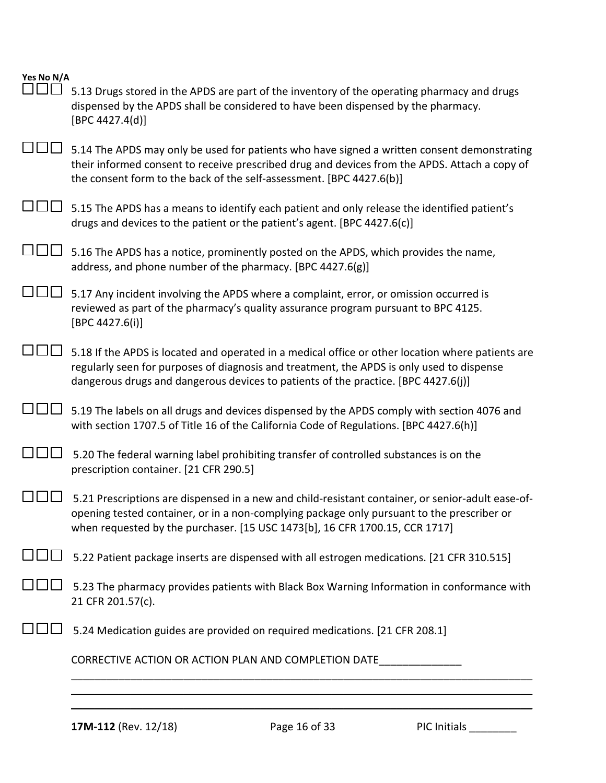| Yes No N/A<br><b>TELESCOPE</b> | 5.13 Drugs stored in the APDS are part of the inventory of the operating pharmacy and drugs<br>dispensed by the APDS shall be considered to have been dispensed by the pharmacy.<br>[BPC 4427.4(d)]                                                                                  |
|--------------------------------|--------------------------------------------------------------------------------------------------------------------------------------------------------------------------------------------------------------------------------------------------------------------------------------|
|                                | 5.14 The APDS may only be used for patients who have signed a written consent demonstrating<br>their informed consent to receive prescribed drug and devices from the APDS. Attach a copy of<br>the consent form to the back of the self-assessment. [BPC 4427.6(b)]                 |
|                                | 5.15 The APDS has a means to identify each patient and only release the identified patient's<br>drugs and devices to the patient or the patient's agent. [BPC 4427.6(c)]                                                                                                             |
|                                | 5.16 The APDS has a notice, prominently posted on the APDS, which provides the name,<br>address, and phone number of the pharmacy. [BPC 4427.6(g)]                                                                                                                                   |
|                                | 5.17 Any incident involving the APDS where a complaint, error, or omission occurred is<br>reviewed as part of the pharmacy's quality assurance program pursuant to BPC 4125.<br>[BPC 4427.6(i)]                                                                                      |
|                                | 5.18 If the APDS is located and operated in a medical office or other location where patients are<br>regularly seen for purposes of diagnosis and treatment, the APDS is only used to dispense<br>dangerous drugs and dangerous devices to patients of the practice. [BPC 4427.6(j)] |
|                                | 5.19 The labels on all drugs and devices dispensed by the APDS comply with section 4076 and<br>with section 1707.5 of Title 16 of the California Code of Regulations. [BPC 4427.6(h)]                                                                                                |
|                                | 5.20 The federal warning label prohibiting transfer of controlled substances is on the<br>prescription container. [21 CFR 290.5]                                                                                                                                                     |
|                                | 5.21 Prescriptions are dispensed in a new and child-resistant container, or senior-adult ease-of-<br>opening tested container, or in a non-complying package only pursuant to the prescriber or<br>when requested by the purchaser. [15 USC 1473[b], 16 CFR 1700.15, CCR 1717]       |
|                                | 5.22 Patient package inserts are dispensed with all estrogen medications. [21 CFR 310.515]                                                                                                                                                                                           |
|                                | 5.23 The pharmacy provides patients with Black Box Warning Information in conformance with<br>21 CFR 201.57(c).                                                                                                                                                                      |
|                                | 5.24 Medication guides are provided on required medications. [21 CFR 208.1]                                                                                                                                                                                                          |
|                                | CORRECTIVE ACTION OR ACTION PLAN AND COMPLETION DATE                                                                                                                                                                                                                                 |
|                                |                                                                                                                                                                                                                                                                                      |

 $\mathcal{L}_\mathcal{L} = \mathcal{L}_\mathcal{L} = \mathcal{L}_\mathcal{L} = \mathcal{L}_\mathcal{L} = \mathcal{L}_\mathcal{L} = \mathcal{L}_\mathcal{L} = \mathcal{L}_\mathcal{L} = \mathcal{L}_\mathcal{L} = \mathcal{L}_\mathcal{L} = \mathcal{L}_\mathcal{L} = \mathcal{L}_\mathcal{L} = \mathcal{L}_\mathcal{L} = \mathcal{L}_\mathcal{L} = \mathcal{L}_\mathcal{L} = \mathcal{L}_\mathcal{L} = \mathcal{L}_\mathcal{L} = \mathcal{L}_\mathcal{L}$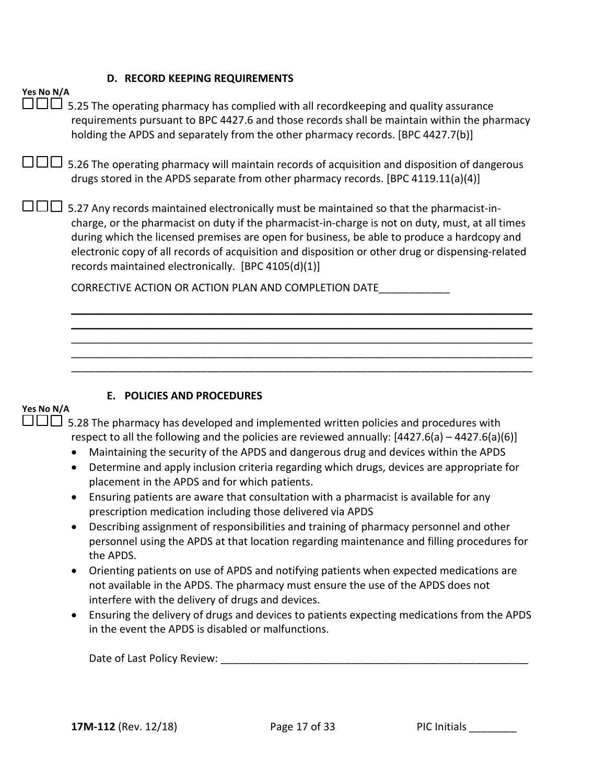#### **D. RECORD KEEPING REQUIREMENTS**

| Yes No N/A<br>5.25 The operating pharmacy has complied with all recordkeeping and quality assurance<br>requirements pursuant to BPC 4427.6 and those records shall be maintain within the pharmacy<br>holding the APDS and separately from the other pharmacy records. [BPC 4427.7(b)]                                                                                                                                                                  |
|---------------------------------------------------------------------------------------------------------------------------------------------------------------------------------------------------------------------------------------------------------------------------------------------------------------------------------------------------------------------------------------------------------------------------------------------------------|
| 5.26 The operating pharmacy will maintain records of acquisition and disposition of dangerous<br>drugs stored in the APDS separate from other pharmacy records. [BPC 4119.11(a)(4)]                                                                                                                                                                                                                                                                     |
| 5.27 Any records maintained electronically must be maintained so that the pharmacist-in-<br>charge, or the pharmacist on duty if the pharmacist-in-charge is not on duty, must, at all times<br>during which the licensed premises are open for business, be able to produce a hardcopy and<br>electronic copy of all records of acquisition and disposition or other drug or dispensing-related<br>records maintained electronically. [BPC 4105(d)(1)] |
| CORRECTIVE ACTION OR ACTION PLAN AND COMPLETION DATE                                                                                                                                                                                                                                                                                                                                                                                                    |
|                                                                                                                                                                                                                                                                                                                                                                                                                                                         |
|                                                                                                                                                                                                                                                                                                                                                                                                                                                         |
|                                                                                                                                                                                                                                                                                                                                                                                                                                                         |
| <b>POLICIES AND PROCEDURES</b><br>Е.                                                                                                                                                                                                                                                                                                                                                                                                                    |

### **Yes No N/A**

 $\Box\Box\Box$  5.28 The pharmacy has developed and implemented written policies and procedures with respect to all the following and the policies are reviewed annually: [4427.6(a) – 4427.6(a)(6)]

- Maintaining the security of the APDS and dangerous drug and devices within the APDS
- Determine and apply inclusion criteria regarding which drugs, devices are appropriate for placement in the APDS and for which patients.
- Ensuring patients are aware that consultation with a pharmacist is available for any prescription medication including those delivered via APDS
- Describing assignment of responsibilities and training of pharmacy personnel and other personnel using the APDS at that location regarding maintenance and filling procedures for the APDS.
- Orienting patients on use of APDS and notifying patients when expected medications are not available in the APDS. The pharmacy must ensure the use of the APDS does not interfere with the delivery of drugs and devices.
- Ensuring the delivery of drugs and devices to patients expecting medications from the APDS in the event the APDS is disabled or malfunctions.

Date of Last Policy Review:  $\Box$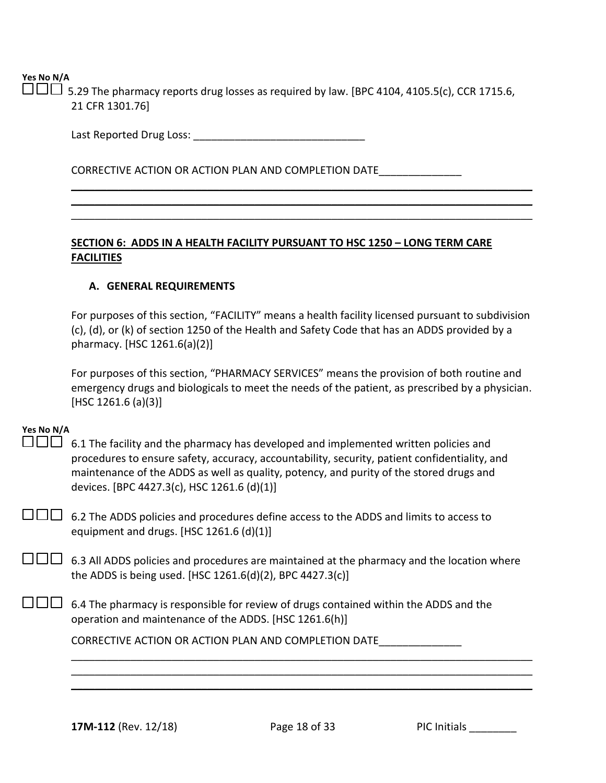$\Box\Box\Box$  5.29 The pharmacy reports drug losses as required by law. [BPC 4104, 4105.5(c), CCR 1715.6, 21 CFR 1301.76]

> \_\_\_\_\_\_\_\_\_\_\_\_\_\_\_\_\_\_\_\_\_\_\_\_\_\_\_\_\_\_\_\_\_\_\_\_\_\_\_\_\_\_\_\_\_\_\_\_\_\_\_\_\_\_\_\_\_\_\_\_\_\_\_\_\_\_\_\_\_\_\_\_\_\_\_\_\_\_  $\mathcal{L}_\mathcal{L} = \mathcal{L}_\mathcal{L} = \mathcal{L}_\mathcal{L} = \mathcal{L}_\mathcal{L} = \mathcal{L}_\mathcal{L} = \mathcal{L}_\mathcal{L} = \mathcal{L}_\mathcal{L} = \mathcal{L}_\mathcal{L} = \mathcal{L}_\mathcal{L} = \mathcal{L}_\mathcal{L} = \mathcal{L}_\mathcal{L} = \mathcal{L}_\mathcal{L} = \mathcal{L}_\mathcal{L} = \mathcal{L}_\mathcal{L} = \mathcal{L}_\mathcal{L} = \mathcal{L}_\mathcal{L} = \mathcal{L}_\mathcal{L}$  $\mathcal{L}_\mathcal{L} = \mathcal{L}_\mathcal{L} = \mathcal{L}_\mathcal{L} = \mathcal{L}_\mathcal{L} = \mathcal{L}_\mathcal{L} = \mathcal{L}_\mathcal{L} = \mathcal{L}_\mathcal{L} = \mathcal{L}_\mathcal{L} = \mathcal{L}_\mathcal{L} = \mathcal{L}_\mathcal{L} = \mathcal{L}_\mathcal{L} = \mathcal{L}_\mathcal{L} = \mathcal{L}_\mathcal{L} = \mathcal{L}_\mathcal{L} = \mathcal{L}_\mathcal{L} = \mathcal{L}_\mathcal{L} = \mathcal{L}_\mathcal{L}$

Last Reported Drug Loss: \_\_\_\_\_\_\_\_\_\_\_\_\_\_\_\_\_\_\_\_\_\_\_\_\_\_\_\_\_

CORRECTIVE ACTION OR ACTION PLAN AND COMPLETION DATE\_\_\_\_\_\_\_\_\_\_\_\_\_\_

#### **SECTION 6: ADDS IN A HEALTH FACILITY PURSUANT TO HSC 1250 – LONG TERM CARE FACILITIES**

#### **A. GENERAL REQUIREMENTS**

For purposes of this section, "FACILITY" means a health facility licensed pursuant to subdivision (c), (d), or (k) of section 1250 of the Health and Safety Code that has an ADDS provided by a pharmacy. [HSC 1261.6(a)(2)]

For purposes of this section, "PHARMACY SERVICES" means the provision of both routine and emergency drugs and biologicals to meet the needs of the patient, as prescribed by a physician. [HSC 1261.6 (a)(3)]

### **Yes No N/A**

 $\square \square \square$  6.1 The facility and the pharmacy has developed and implemented written policies and procedures to ensure safety, accuracy, accountability, security, patient confidentiality, and maintenance of the ADDS as well as quality, potency, and purity of the stored drugs and devices. [BPC 4427.3(c), HSC 1261.6 (d)(1)]

 $\Box$  $\Box$  6.2 The ADDS policies and procedures define access to the ADDS and limits to access to equipment and drugs. [HSC 1261.6 (d)(1)]

 $\Box$  6.3 All ADDS policies and procedures are maintained at the pharmacy and the location where the ADDS is being used. [HSC 1261.6(d)(2), BPC 4427.3(c)]

 $\square \square \square$  6.4 The pharmacy is responsible for review of drugs contained within the ADDS and the operation and maintenance of the ADDS. [HSC 1261.6(h)]

CORRECTIVE ACTION OR ACTION PLAN AND COMPLETION DATE\_\_\_\_\_\_\_\_\_\_\_\_\_\_

\_\_\_\_\_\_\_\_\_\_\_\_\_\_\_\_\_\_\_\_\_\_\_\_\_\_\_\_\_\_\_\_\_\_\_\_\_\_\_\_\_\_\_\_\_\_\_\_\_\_\_\_\_\_\_\_\_\_\_\_\_\_\_\_\_\_\_\_\_\_\_\_\_\_\_\_\_\_ \_\_\_\_\_\_\_\_\_\_\_\_\_\_\_\_\_\_\_\_\_\_\_\_\_\_\_\_\_\_\_\_\_\_\_\_\_\_\_\_\_\_\_\_\_\_\_\_\_\_\_\_\_\_\_\_\_\_\_\_\_\_\_\_\_\_\_\_\_\_\_\_\_\_\_\_\_\_ \_\_\_\_\_\_\_\_\_\_\_\_\_\_\_\_\_\_\_\_\_\_\_\_\_\_\_\_\_\_\_\_\_\_\_\_\_\_\_\_\_\_\_\_\_\_\_\_\_\_\_\_\_\_\_\_\_\_\_\_\_\_\_\_\_\_\_\_\_\_\_\_\_\_\_\_\_\_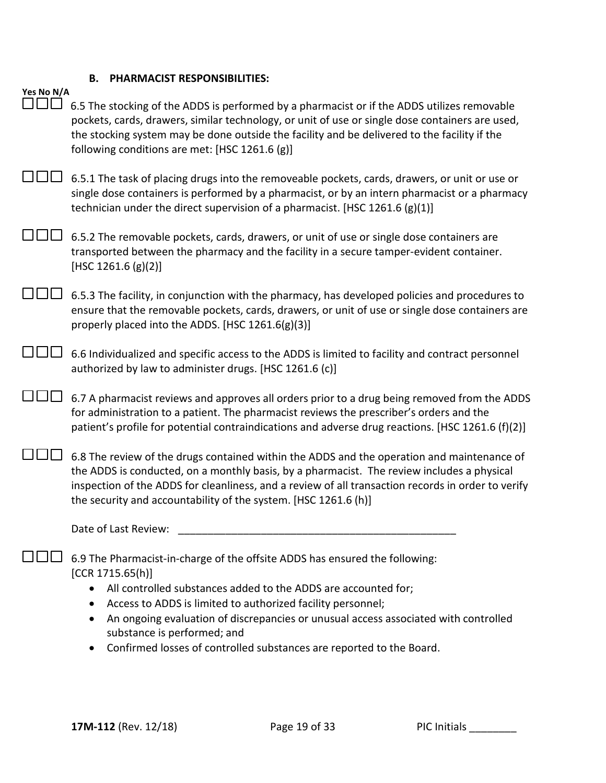### **B. PHARMACIST RESPONSIBILITIES:**

| Yes No N/A | 6.5 The stocking of the ADDS is performed by a pharmacist or if the ADDS utilizes removable                                                                                                                                                                                                                                                                                                                                                      |
|------------|--------------------------------------------------------------------------------------------------------------------------------------------------------------------------------------------------------------------------------------------------------------------------------------------------------------------------------------------------------------------------------------------------------------------------------------------------|
|            | pockets, cards, drawers, similar technology, or unit of use or single dose containers are used,<br>the stocking system may be done outside the facility and be delivered to the facility if the<br>following conditions are met: [HSC 1261.6 (g)]                                                                                                                                                                                                |
|            | 6.5.1 The task of placing drugs into the removeable pockets, cards, drawers, or unit or use or<br>single dose containers is performed by a pharmacist, or by an intern pharmacist or a pharmacy<br>technician under the direct supervision of a pharmacist. [HSC 1261.6 (g)(1)]                                                                                                                                                                  |
|            | 6.5.2 The removable pockets, cards, drawers, or unit of use or single dose containers are<br>transported between the pharmacy and the facility in a secure tamper-evident container.<br>[HSC 1261.6 $(g)(2)$ ]                                                                                                                                                                                                                                   |
|            | 6.5.3 The facility, in conjunction with the pharmacy, has developed policies and procedures to<br>ensure that the removable pockets, cards, drawers, or unit of use or single dose containers are<br>properly placed into the ADDS. [HSC 1261.6(g)(3)]                                                                                                                                                                                           |
|            | 6.6 Individualized and specific access to the ADDS is limited to facility and contract personnel<br>authorized by law to administer drugs. [HSC 1261.6 (c)]                                                                                                                                                                                                                                                                                      |
|            | 6.7 A pharmacist reviews and approves all orders prior to a drug being removed from the ADDS<br>for administration to a patient. The pharmacist reviews the prescriber's orders and the<br>patient's profile for potential contraindications and adverse drug reactions. [HSC 1261.6 (f)(2)]                                                                                                                                                     |
|            | 6.8 The review of the drugs contained within the ADDS and the operation and maintenance of<br>the ADDS is conducted, on a monthly basis, by a pharmacist. The review includes a physical<br>inspection of the ADDS for cleanliness, and a review of all transaction records in order to verify<br>the security and accountability of the system. [HSC 1261.6 (h)]                                                                                |
|            | Date of Last Review:                                                                                                                                                                                                                                                                                                                                                                                                                             |
|            | 6.9 The Pharmacist-in-charge of the offsite ADDS has ensured the following:<br>[CCR 1715.65(h)]<br>All controlled substances added to the ADDS are accounted for;<br>$\bullet$<br>Access to ADDS is limited to authorized facility personnel;<br>An ongoing evaluation of discrepancies or unusual access associated with controlled<br>٠<br>substance is performed; and<br>Confirmed losses of controlled substances are reported to the Board. |
|            |                                                                                                                                                                                                                                                                                                                                                                                                                                                  |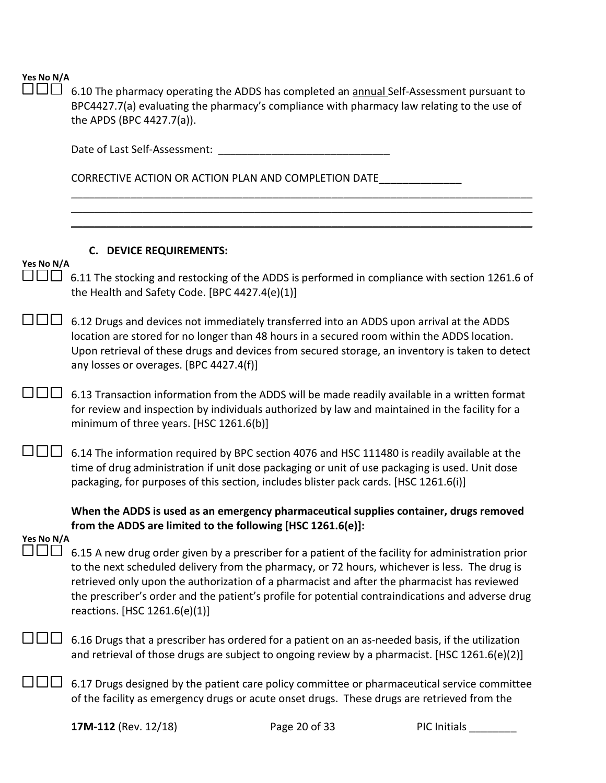|  | Yes No N/A |
|--|------------|
|  |            |

6.10 The pharmacy operating the ADDS has completed an annual Self-Assessment pursuant to BPC4427.7(a) evaluating the pharmacy's compliance with pharmacy law relating to the use of the APDS (BPC 4427.7(a)).

\_\_\_\_\_\_\_\_\_\_\_\_\_\_\_\_\_\_\_\_\_\_\_\_\_\_\_\_\_\_\_\_\_\_\_\_\_\_\_\_\_\_\_\_\_\_\_\_\_\_\_\_\_\_\_\_\_\_\_\_\_\_\_\_\_\_\_\_\_\_\_\_\_\_\_\_\_\_ \_\_\_\_\_\_\_\_\_\_\_\_\_\_\_\_\_\_\_\_\_\_\_\_\_\_\_\_\_\_\_\_\_\_\_\_\_\_\_\_\_\_\_\_\_\_\_\_\_\_\_\_\_\_\_\_\_\_\_\_\_\_\_\_\_\_\_\_\_\_\_\_\_\_\_\_\_\_ \_\_\_\_\_\_\_\_\_\_\_\_\_\_\_\_\_\_\_\_\_\_\_\_\_\_\_\_\_\_\_\_\_\_\_\_\_\_\_\_\_\_\_\_\_\_\_\_\_\_\_\_\_\_\_\_\_\_\_\_\_\_\_\_\_\_\_\_\_\_\_\_\_\_\_\_\_\_

Date of Last Self-Assessment: \_\_\_\_\_\_\_\_\_\_\_\_\_\_\_\_\_\_\_\_\_\_\_\_\_\_\_\_\_

CORRECTIVE ACTION OR ACTION PLAN AND COMPLETION DATE\_\_\_\_\_\_\_\_\_\_\_\_\_\_\_\_\_\_\_\_\_\_\_\_\_\_\_\_

### **C. DEVICE REQUIREMENTS:**

### **Yes No N/A**

 $\Box$  $\Box$  6.11 The stocking and restocking of the ADDS is performed in compliance with section 1261.6 of the Health and Safety Code. [BPC 4427.4(e)(1)]

 $\square \square \square$  6.12 Drugs and devices not immediately transferred into an ADDS upon arrival at the ADDS location are stored for no longer than 48 hours in a secured room within the ADDS location. Upon retrieval of these drugs and devices from secured storage, an inventory is taken to detect any losses or overages. [BPC 4427.4(f)]

 $\square \square \square$  6.13 Transaction information from the ADDS will be made readily available in a written format for review and inspection by individuals authorized by law and maintained in the facility for a minimum of three years. [HSC 1261.6(b)]

 $\Box$  $\Box$  6.14 The information required by BPC section 4076 and HSC 111480 is readily available at the time of drug administration if unit dose packaging or unit of use packaging is used. Unit dose packaging, for purposes of this section, includes blister pack cards. [HSC 1261.6(i)]

**When the ADDS is used as an emergency pharmaceutical supplies container, drugs removed from the ADDS are limited to the following [HSC 1261.6(e)]:** 

### **Yes No N/A**

- $\Box$  $\Box$  6.15 A new drug order given by a prescriber for a patient of the facility for administration prior to the next scheduled delivery from the pharmacy, or 72 hours, whichever is less. The drug is retrieved only upon the authorization of a pharmacist and after the pharmacist has reviewed the prescriber's order and the patient's profile for potential contraindications and adverse drug reactions. [HSC 1261.6(e)(1)]
- 6.16 Drugs that a prescriber has ordered for a patient on an as-needed basis, if the utilization and retrieval of those drugs are subject to ongoing review by a pharmacist. [HSC 1261.6(e)(2)]
- $\square \square \square$  6.17 Drugs designed by the patient care policy committee or pharmaceutical service committee of the facility as emergency drugs or acute onset drugs. These drugs are retrieved from the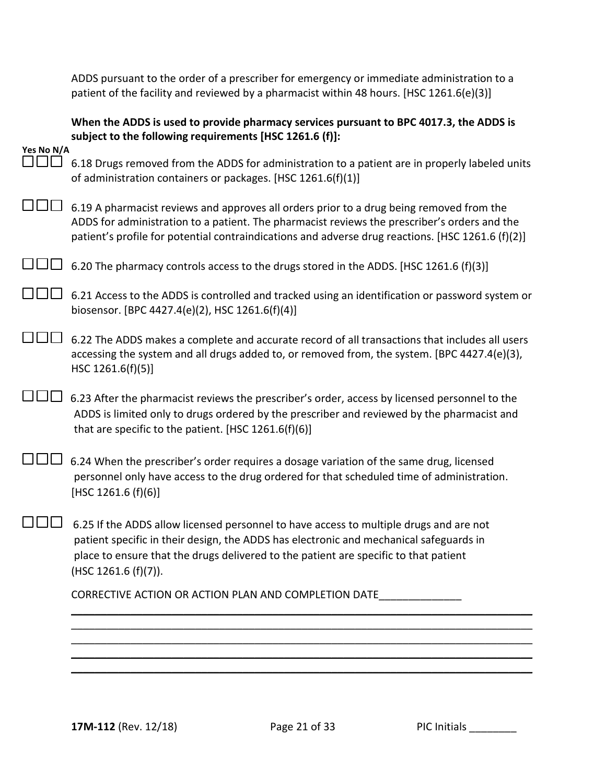ADDS pursuant to the order of a prescriber for emergency or immediate administration to a patient of the facility and reviewed by a pharmacist within 48 hours. [HSC 1261.6(e)(3)]

|            | When the ADDS is used to provide pharmacy services pursuant to BPC 4017.3, the ADDS is<br>subject to the following requirements [HSC 1261.6 (f)]:                                                                                                                                                |
|------------|--------------------------------------------------------------------------------------------------------------------------------------------------------------------------------------------------------------------------------------------------------------------------------------------------|
| Yes No N/A |                                                                                                                                                                                                                                                                                                  |
| ו זרור     | 6.18 Drugs removed from the ADDS for administration to a patient are in properly labeled units<br>of administration containers or packages. [HSC 1261.6(f)(1)]                                                                                                                                   |
|            | 6.19 A pharmacist reviews and approves all orders prior to a drug being removed from the<br>ADDS for administration to a patient. The pharmacist reviews the prescriber's orders and the<br>patient's profile for potential contraindications and adverse drug reactions. [HSC 1261.6 (f)(2)]    |
|            | 6.20 The pharmacy controls access to the drugs stored in the ADDS. [HSC 1261.6 (f)(3)]                                                                                                                                                                                                           |
|            | 6.21 Access to the ADDS is controlled and tracked using an identification or password system or<br>biosensor. [BPC 4427.4(e)(2), HSC 1261.6(f)(4)]                                                                                                                                               |
|            | 6.22 The ADDS makes a complete and accurate record of all transactions that includes all users<br>accessing the system and all drugs added to, or removed from, the system. [BPC 4427.4(e)(3),<br>HSC $1261.6(f)(5)$ ]                                                                           |
|            | 6.23 After the pharmacist reviews the prescriber's order, access by licensed personnel to the<br>ADDS is limited only to drugs ordered by the prescriber and reviewed by the pharmacist and<br>that are specific to the patient. [HSC 1261.6(f)(6)]                                              |
|            | 6.24 When the prescriber's order requires a dosage variation of the same drug, licensed<br>personnel only have access to the drug ordered for that scheduled time of administration.<br>[HSC 1261.6 $(f)(6)$ ]                                                                                   |
|            | 6.25 If the ADDS allow licensed personnel to have access to multiple drugs and are not<br>patient specific in their design, the ADDS has electronic and mechanical safeguards in<br>place to ensure that the drugs delivered to the patient are specific to that patient<br>(HSC 1261.6 (f)(7)). |
|            | CORRECTIVE ACTION OR ACTION PLAN AND COMPLETION DATE                                                                                                                                                                                                                                             |
|            |                                                                                                                                                                                                                                                                                                  |
|            |                                                                                                                                                                                                                                                                                                  |
|            |                                                                                                                                                                                                                                                                                                  |
|            |                                                                                                                                                                                                                                                                                                  |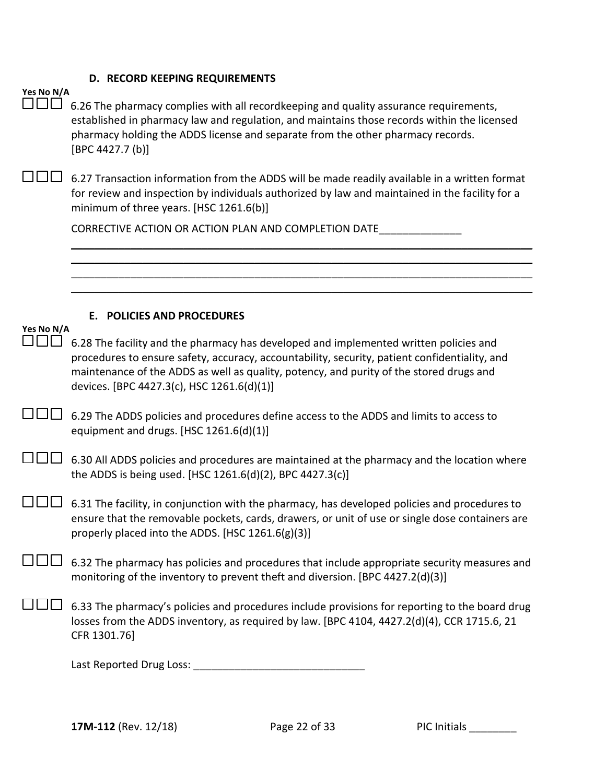#### **D. RECORD KEEPING REQUIREMENTS**

| Yes No N/A |  |  |
|------------|--|--|
|            |  |  |

 $\Box\Box\Box$  6.26 The pharmacy complies with all recordkeeping and quality assurance requirements, established in pharmacy law and regulation, and maintains those records within the licensed pharmacy holding the ADDS license and separate from the other pharmacy records. [BPC 4427.7 (b)]  $\square \square \square$  6.27 Transaction information from the ADDS will be made readily available in a written format for review and inspection by individuals authorized by law and maintained in the facility for a minimum of three years. [HSC 1261.6(b)] CORRECTIVE ACTION OR ACTION PLAN AND COMPLETION DATE\_\_\_\_\_\_\_\_\_\_\_\_\_\_ \_\_\_\_\_\_\_\_\_\_\_\_\_\_\_\_\_\_\_\_\_\_\_\_\_\_\_\_\_\_\_\_\_\_\_\_\_\_\_\_\_\_\_\_\_\_\_\_\_\_\_\_\_\_\_\_\_\_\_\_\_\_\_\_\_\_\_\_\_\_\_\_\_\_\_\_\_\_ \_\_\_\_\_\_\_\_\_\_\_\_\_\_\_\_\_\_\_\_\_\_\_\_\_\_\_\_\_\_\_\_\_\_\_\_\_\_\_\_\_\_\_\_\_\_\_\_\_\_\_\_\_\_\_\_\_\_\_\_\_\_\_\_\_\_\_\_\_\_\_\_\_\_\_\_\_\_ \_\_\_\_\_\_\_\_\_\_\_\_\_\_\_\_\_\_\_\_\_\_\_\_\_\_\_\_\_\_\_\_\_\_\_\_\_\_\_\_\_\_\_\_\_\_\_\_\_\_\_\_\_\_\_\_\_\_\_\_\_\_\_\_\_\_\_\_\_\_\_\_\_\_\_\_\_\_ \_\_\_\_\_\_\_\_\_\_\_\_\_\_\_\_\_\_\_\_\_\_\_\_\_\_\_\_\_\_\_\_\_\_\_\_\_\_\_\_\_\_\_\_\_\_\_\_\_\_\_\_\_\_\_\_\_\_\_\_\_\_\_\_\_\_\_\_\_\_\_\_\_\_\_\_\_\_ **E. POLICIES AND PROCEDURES Yes No N/A**  $\square \square \square$  6.28 The facility and the pharmacy has developed and implemented written policies and procedures to ensure safety, accuracy, accountability, security, patient confidentiality, and maintenance of the ADDS as well as quality, potency, and purity of the stored drugs and devices. [BPC 4427.3(c), HSC 1261.6(d)(1)]  $\square \square \square$  6.29 The ADDS policies and procedures define access to the ADDS and limits to access to equipment and drugs. [HSC 1261.6(d)(1)]  $\square \square \square$  6.30 All ADDS policies and procedures are maintained at the pharmacy and the location where

 $\square \square \square$  6.31 The facility, in conjunction with the pharmacy, has developed policies and procedures to ensure that the removable pockets, cards, drawers, or unit of use or single dose containers are properly placed into the ADDS. [HSC 1261.6(g)(3)]

 $\square \square \square$  6.32 The pharmacy has policies and procedures that include appropriate security measures and monitoring of the inventory to prevent theft and diversion. [BPC 4427.2(d)(3)]

 $\square \square \square$  6.33 The pharmacy's policies and procedures include provisions for reporting to the board drug losses from the ADDS inventory, as required by law. [BPC 4104, 4427.2(d)(4), CCR 1715.6, 21 CFR 1301.76]

Last Reported Drug Loss: \_\_\_\_\_\_\_\_\_\_\_\_\_\_\_\_\_\_\_\_\_\_\_\_\_\_\_\_\_

the ADDS is being used. [HSC 1261.6(d)(2), BPC 4427.3(c)]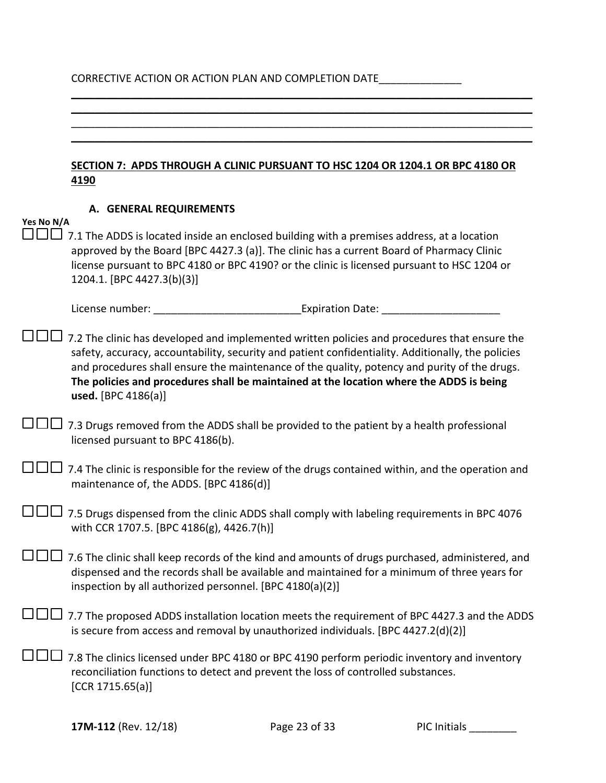# CORRECTIVE ACTION OR ACTION PLAN AND COMPLETION DATE\_\_\_\_\_\_\_\_\_\_\_\_\_\_\_\_\_\_\_\_\_\_\_\_\_\_\_\_

 $\mathcal{L}_\mathcal{L} = \mathcal{L}_\mathcal{L} = \mathcal{L}_\mathcal{L} = \mathcal{L}_\mathcal{L} = \mathcal{L}_\mathcal{L} = \mathcal{L}_\mathcal{L} = \mathcal{L}_\mathcal{L} = \mathcal{L}_\mathcal{L} = \mathcal{L}_\mathcal{L} = \mathcal{L}_\mathcal{L} = \mathcal{L}_\mathcal{L} = \mathcal{L}_\mathcal{L} = \mathcal{L}_\mathcal{L} = \mathcal{L}_\mathcal{L} = \mathcal{L}_\mathcal{L} = \mathcal{L}_\mathcal{L} = \mathcal{L}_\mathcal{L}$ 

|            | SECTION 7: APDS THROUGH A CLINIC PURSUANT TO HSC 1204 OR 1204.1 OR BPC 4180 OR<br>4190                                                                                                                                                                                                                                                                                                                                         |
|------------|--------------------------------------------------------------------------------------------------------------------------------------------------------------------------------------------------------------------------------------------------------------------------------------------------------------------------------------------------------------------------------------------------------------------------------|
| Yes No N/A | A. GENERAL REQUIREMENTS<br>7.1 The ADDS is located inside an enclosed building with a premises address, at a location                                                                                                                                                                                                                                                                                                          |
|            | approved by the Board [BPC 4427.3 (a)]. The clinic has a current Board of Pharmacy Clinic<br>license pursuant to BPC 4180 or BPC 4190? or the clinic is licensed pursuant to HSC 1204 or<br>1204.1. [BPC 4427.3(b)(3)]                                                                                                                                                                                                         |
|            |                                                                                                                                                                                                                                                                                                                                                                                                                                |
|            | 7.2 The clinic has developed and implemented written policies and procedures that ensure the<br>safety, accuracy, accountability, security and patient confidentiality. Additionally, the policies<br>and procedures shall ensure the maintenance of the quality, potency and purity of the drugs.<br>The policies and procedures shall be maintained at the location where the ADDS is being<br><b>used.</b> [BPC $4186(a)$ ] |
|            | 7.3 Drugs removed from the ADDS shall be provided to the patient by a health professional<br>licensed pursuant to BPC 4186(b).                                                                                                                                                                                                                                                                                                 |
|            | 7.4 The clinic is responsible for the review of the drugs contained within, and the operation and<br>maintenance of, the ADDS. [BPC 4186(d)]                                                                                                                                                                                                                                                                                   |
|            | 7.5 Drugs dispensed from the clinic ADDS shall comply with labeling requirements in BPC 4076<br>with CCR 1707.5. [BPC 4186(g), 4426.7(h)]                                                                                                                                                                                                                                                                                      |
|            | 7.6 The clinic shall keep records of the kind and amounts of drugs purchased, administered, and<br>dispensed and the records shall be available and maintained for a minimum of three years for<br>inspection by all authorized personnel. [BPC 4180(a)(2)]                                                                                                                                                                    |
|            | 7.7 The proposed ADDS installation location meets the requirement of BPC 4427.3 and the ADDS<br>is secure from access and removal by unauthorized individuals. [BPC 4427.2(d)(2)]                                                                                                                                                                                                                                              |
|            | 7.8 The clinics licensed under BPC 4180 or BPC 4190 perform periodic inventory and inventory<br>reconciliation functions to detect and prevent the loss of controlled substances.<br>[CCR 1715.65(a)]                                                                                                                                                                                                                          |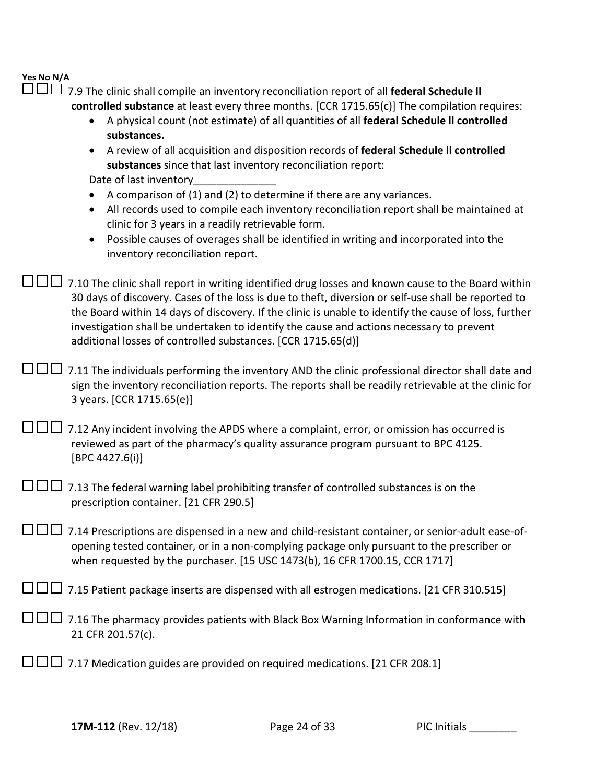□□□ 7.9 The clinic shall compile an inventory reconciliation report of all federal Schedule II **controlled substance** at least every three months. [CCR 1715.65(c)] The compilation requires:

- A physical count (not estimate) of all quantities of all **federal Schedule ll controlled substances.**
- A review of all acquisition and disposition records of **federal Schedule ll controlled substances** since that last inventory reconciliation report:

Date of last inventory

- A comparison of (1) and (2) to determine if there are any variances.
- All records used to compile each inventory reconciliation report shall be maintained at clinic for 3 years in a readily retrievable form.
- Possible causes of overages shall be identified in writing and incorporated into the inventory reconciliation report.

 $\Box$  $\Box$  7.10 The clinic shall report in writing identified drug losses and known cause to the Board within 30 days of discovery. Cases of the loss is due to theft, diversion or self-use shall be reported to the Board within 14 days of discovery. If the clinic is unable to identify the cause of loss, further investigation shall be undertaken to identify the cause and actions necessary to prevent additional losses of controlled substances. [CCR 1715.65(d)]

 $\square \square \square$  7.11 The individuals performing the inventory AND the clinic professional director shall date and sign the inventory reconciliation reports. The reports shall be readily retrievable at the clinic for 3 years. [CCR 1715.65(e)]

| $\Box$ $\Box$ 7.12 Any incident involving the APDS where a complaint, error, or omission has occurred is |
|----------------------------------------------------------------------------------------------------------|
| reviewed as part of the pharmacy's quality assurance program pursuant to BPC 4125.                       |
| [BPC 4427.6(i)]                                                                                          |

| $\square \square \square$ 7.13 The federal warning label prohibiting transfer of controlled substances is on the |
|------------------------------------------------------------------------------------------------------------------|
| prescription container. [21 CFR 290.5]                                                                           |

 $\square \square \square$  7.14 Prescriptions are dispensed in a new and child-resistant container, or senior-adult ease-ofopening tested container, or in a non-complying package only pursuant to the prescriber or when requested by the purchaser. [15 USC 1473(b), 16 CFR 1700.15, CCR 1717]

 $\square \square \square$  7.15 Patient package inserts are dispensed with all estrogen medications. [21 CFR 310.515]

- $\square\square\square$  7.16 The pharmacy provides patients with Black Box Warning Information in conformance with 21 CFR 201.57(c).
- $\square \square \square$  7.17 Medication guides are provided on required medications. [21 CFR 208.1]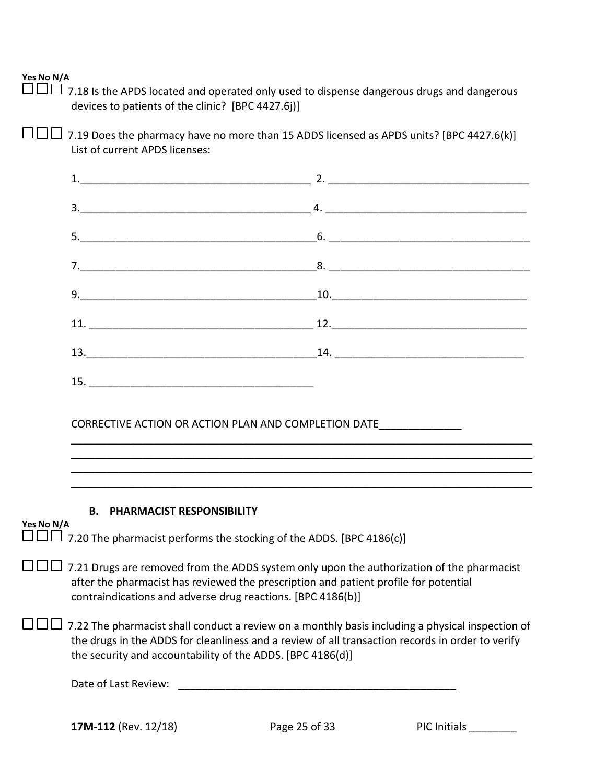$\Box$  $\Box$  7.18 Is the APDS located and operated only used to dispense dangerous drugs and dangerous devices to patients of the clinic? [BPC 4427.6j)]

 $\square \square \square$  7.19 Does the pharmacy have no more than 15 ADDS licensed as APDS units? [BPC 4427.6(k)] List of current APDS licenses:

| 1.                                  |                                                                                                                                                                                                                                                                                                                                                                         |
|-------------------------------------|-------------------------------------------------------------------------------------------------------------------------------------------------------------------------------------------------------------------------------------------------------------------------------------------------------------------------------------------------------------------------|
|                                     |                                                                                                                                                                                                                                                                                                                                                                         |
|                                     |                                                                                                                                                                                                                                                                                                                                                                         |
|                                     |                                                                                                                                                                                                                                                                                                                                                                         |
|                                     |                                                                                                                                                                                                                                                                                                                                                                         |
|                                     |                                                                                                                                                                                                                                                                                                                                                                         |
|                                     |                                                                                                                                                                                                                                                                                                                                                                         |
|                                     |                                                                                                                                                                                                                                                                                                                                                                         |
|                                     | CORRECTIVE ACTION OR ACTION PLAN AND COMPLETION DATE                                                                                                                                                                                                                                                                                                                    |
| <b>B. PHARMACIST RESPONSIBILITY</b> |                                                                                                                                                                                                                                                                                                                                                                         |
| Yes No N/A                          | $\Box\Box$ 7.20 The pharmacist performs the stocking of the ADDS. [BPC 4186(c)]                                                                                                                                                                                                                                                                                         |
|                                     | after the pharmacist has reviewed the prescription and patient profile for potential<br>contraindications and adverse drug reactions. [BPC 4186(b)]                                                                                                                                                                                                                     |
|                                     | $\perp$ 7.21 Drugs are removed from the ADDS system only upon the authorization of the pharmacist<br>7.22 The pharmacist shall conduct a review on a monthly basis including a physical inspection of<br>the drugs in the ADDS for cleanliness and a review of all transaction records in order to verify<br>the security and accountability of the ADDS. [BPC 4186(d)] |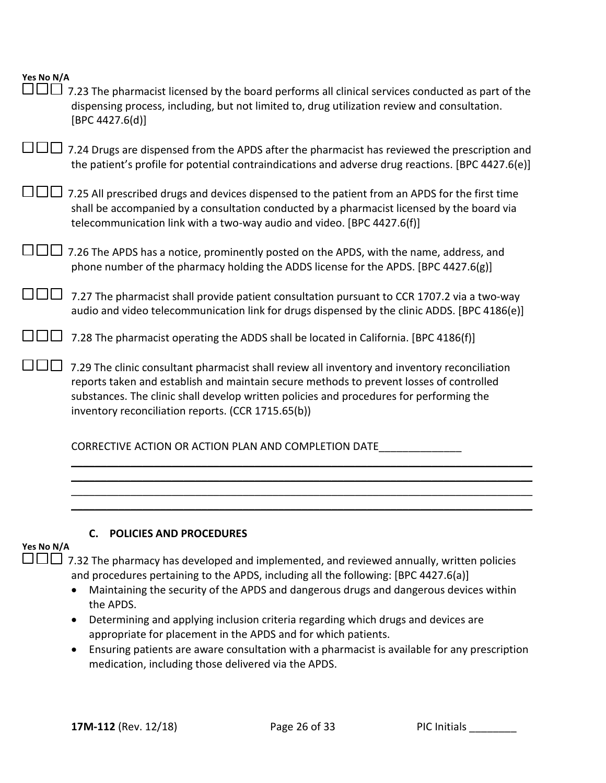|     | Yes No N/A |
|-----|------------|
| ——— |            |

| 7.23 The pharmacist licensed by the board performs all clinical services conducted as part of the<br>dispensing process, including, but not limited to, drug utilization review and consultation.<br>[BPC 4427.6(d)]                                                                                                                      |
|-------------------------------------------------------------------------------------------------------------------------------------------------------------------------------------------------------------------------------------------------------------------------------------------------------------------------------------------|
| 7.24 Drugs are dispensed from the APDS after the pharmacist has reviewed the prescription and<br>the patient's profile for potential contraindications and adverse drug reactions. [BPC 4427.6(e)]                                                                                                                                        |
| 7.25 All prescribed drugs and devices dispensed to the patient from an APDS for the first time<br>shall be accompanied by a consultation conducted by a pharmacist licensed by the board via<br>telecommunication link with a two-way audio and video. [BPC 4427.6(f)]                                                                    |
| 7.26 The APDS has a notice, prominently posted on the APDS, with the name, address, and<br>phone number of the pharmacy holding the ADDS license for the APDS. [BPC 4427.6(g)]                                                                                                                                                            |
| 7.27 The pharmacist shall provide patient consultation pursuant to CCR 1707.2 via a two-way<br>audio and video telecommunication link for drugs dispensed by the clinic ADDS. [BPC 4186(e)]                                                                                                                                               |
| 7.28 The pharmacist operating the ADDS shall be located in California. [BPC 4186(f)]                                                                                                                                                                                                                                                      |
| 7.29 The clinic consultant pharmacist shall review all inventory and inventory reconciliation<br>reports taken and establish and maintain secure methods to prevent losses of controlled<br>substances. The clinic shall develop written policies and procedures for performing the<br>inventory reconciliation reports. (CCR 1715.65(b)) |
| CORRECTIVE ACTION OR ACTION PLAN AND COMPLETION DATE                                                                                                                                                                                                                                                                                      |

#### **C. POLICIES AND PROCEDURES**

#### **Yes No N/A**

 $\square \square \square$  7.32 The pharmacy has developed and implemented, and reviewed annually, written policies and procedures pertaining to the APDS, including all the following: [BPC 4427.6(a)]

\_\_\_\_\_\_\_\_\_\_\_\_\_\_\_\_\_\_\_\_\_\_\_\_\_\_\_\_\_\_\_\_\_\_\_\_\_\_\_\_\_\_\_\_\_\_\_\_\_\_\_\_\_\_\_\_\_\_\_\_\_\_\_\_\_\_\_\_\_\_\_\_\_\_\_\_\_\_ \_\_\_\_\_\_\_\_\_\_\_\_\_\_\_\_\_\_\_\_\_\_\_\_\_\_\_\_\_\_\_\_\_\_\_\_\_\_\_\_\_\_\_\_\_\_\_\_\_\_\_\_\_\_\_\_\_\_\_\_\_\_\_\_\_\_\_\_\_\_\_\_\_\_\_\_\_\_ \_\_\_\_\_\_\_\_\_\_\_\_\_\_\_\_\_\_\_\_\_\_\_\_\_\_\_\_\_\_\_\_\_\_\_\_\_\_\_\_\_\_\_\_\_\_\_\_\_\_\_\_\_\_\_\_\_\_\_\_\_\_\_\_\_\_\_\_\_\_\_\_\_\_\_\_\_\_

- Maintaining the security of the APDS and dangerous drugs and dangerous devices within the APDS.
- Determining and applying inclusion criteria regarding which drugs and devices are appropriate for placement in the APDS and for which patients.
- Ensuring patients are aware consultation with a pharmacist is available for any prescription medication, including those delivered via the APDS.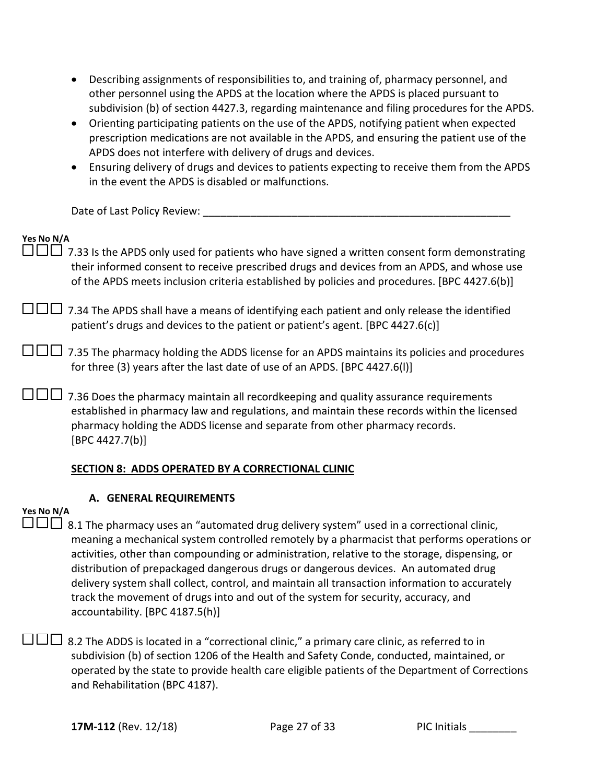- Describing assignments of responsibilities to, and training of, pharmacy personnel, and other personnel using the APDS at the location where the APDS is placed pursuant to subdivision (b) of section 4427.3, regarding maintenance and filing procedures for the APDS.
- Orienting participating patients on the use of the APDS, notifying patient when expected prescription medications are not available in the APDS, and ensuring the patient use of the APDS does not interfere with delivery of drugs and devices.
- Ensuring delivery of drugs and devices to patients expecting to receive them from the APDS in the event the APDS is disabled or malfunctions.

Date of Last Policy Review:

| Yes No N/A<br>7.33 Is the APDS only used for patients who have signed a written consent form demonstrating<br>their informed consent to receive prescribed drugs and devices from an APDS, and whose use<br>of the APDS meets inclusion criteria established by policies and procedures. [BPC 4427.6(b)] |
|----------------------------------------------------------------------------------------------------------------------------------------------------------------------------------------------------------------------------------------------------------------------------------------------------------|
| 7.34 The APDS shall have a means of identifying each patient and only release the identified<br>patient's drugs and devices to the patient or patient's agent. [BPC 4427.6(c)]                                                                                                                           |
| 7.35 The pharmacy holding the ADDS license for an APDS maintains its policies and procedures<br>for three (3) years after the last date of use of an APDS. [BPC 4427.6(I)]                                                                                                                               |
| 7.36 Does the pharmacy maintain all recordkeeping and quality assurance requirements<br>established in pharmacy law and regulations, and maintain these records within the licensed<br>pharmacy holding the ADDS license and separate from other pharmacy records.<br>[BPC 4427.7(b)]                    |
| SECTION 8: ADDS OPERATED BY A CORRECTIONAL CLINIC                                                                                                                                                                                                                                                        |
| A. GENERAL REQUIREMENTS                                                                                                                                                                                                                                                                                  |

### **Yes No N/A**

 $\square \square \square$  8.1 The pharmacy uses an "automated drug delivery system" used in a correctional clinic, meaning a mechanical system controlled remotely by a pharmacist that performs operations or activities, other than compounding or administration, relative to the storage, dispensing, or distribution of prepackaged dangerous drugs or dangerous devices. An automated drug delivery system shall collect, control, and maintain all transaction information to accurately track the movement of drugs into and out of the system for security, accuracy, and accountability. [BPC 4187.5(h)]

 $\square \square \square$  8.2 The ADDS is located in a "correctional clinic," a primary care clinic, as referred to in subdivision (b) of section 1206 of the Health and Safety Conde, conducted, maintained, or operated by the state to provide health care eligible patients of the Department of Corrections and Rehabilitation (BPC 4187).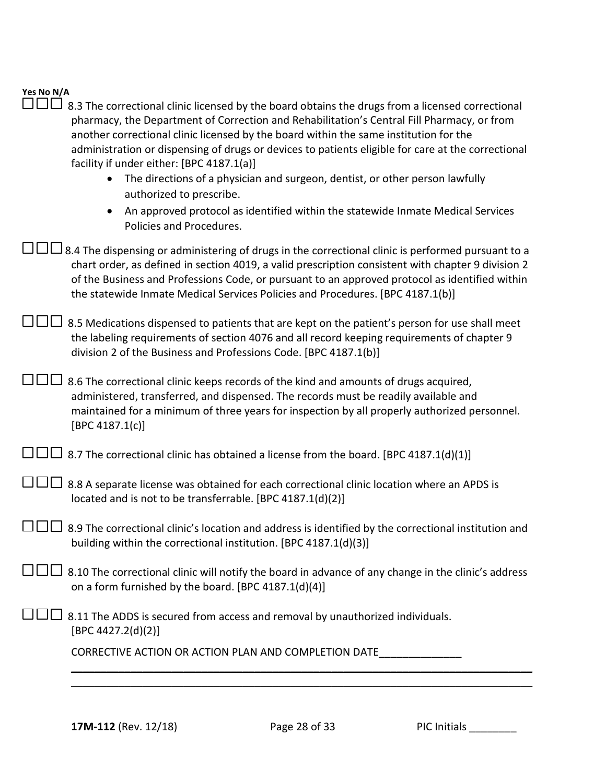### **Yes No N/A**  $\Box$  $\Box$  8.3 The correctional clinic licensed by the board obtains the drugs from a licensed correctional

| another correctional clinic licensed by the board within the same institution for the<br>administration or dispensing of drugs or devices to patients eligible for care at the correctional<br>facility if under either: [BPC 4187.1(a)]<br>The directions of a physician and surgeon, dentist, or other person lawfully<br>$\bullet$                                                        |
|----------------------------------------------------------------------------------------------------------------------------------------------------------------------------------------------------------------------------------------------------------------------------------------------------------------------------------------------------------------------------------------------|
| authorized to prescribe.<br>An approved protocol as identified within the statewide Inmate Medical Services<br>Policies and Procedures.                                                                                                                                                                                                                                                      |
| B.4 The dispensing or administering of drugs in the correctional clinic is performed pursuant to a<br>chart order, as defined in section 4019, a valid prescription consistent with chapter 9 division 2<br>of the Business and Professions Code, or pursuant to an approved protocol as identified within<br>the statewide Inmate Medical Services Policies and Procedures. [BPC 4187.1(b)] |
| 8.5 Medications dispensed to patients that are kept on the patient's person for use shall meet<br>the labeling requirements of section 4076 and all record keeping requirements of chapter 9<br>division 2 of the Business and Professions Code. [BPC 4187.1(b)]                                                                                                                             |
| 8.6 The correctional clinic keeps records of the kind and amounts of drugs acquired,<br>administered, transferred, and dispensed. The records must be readily available and<br>maintained for a minimum of three years for inspection by all properly authorized personnel.<br>[BPC 4187.1(c)]                                                                                               |
| $\perp$ 8.7 The correctional clinic has obtained a license from the board. [BPC 4187.1(d)(1)]                                                                                                                                                                                                                                                                                                |
| 8.8 A separate license was obtained for each correctional clinic location where an APDS is<br>located and is not to be transferrable. [BPC 4187.1(d)(2)]                                                                                                                                                                                                                                     |
| 8.9 The correctional clinic's location and address is identified by the correctional institution and<br>building within the correctional institution. [BPC 4187.1(d)(3)]                                                                                                                                                                                                                     |
| 8.10 The correctional clinic will notify the board in advance of any change in the clinic's address لسالسال<br>on a form furnished by the board. [BPC 4187.1(d)(4)]                                                                                                                                                                                                                          |
| 8.11 The ADDS is secured from access and removal by unauthorized individuals.<br>[BPC 4427.2(d)(2)]                                                                                                                                                                                                                                                                                          |
| CORRECTIVE ACTION OR ACTION PLAN AND COMPLETION DATE                                                                                                                                                                                                                                                                                                                                         |
|                                                                                                                                                                                                                                                                                                                                                                                              |

pharmacy, the Department of Correction and Rehabilitation's Central Fill Pharmacy, or from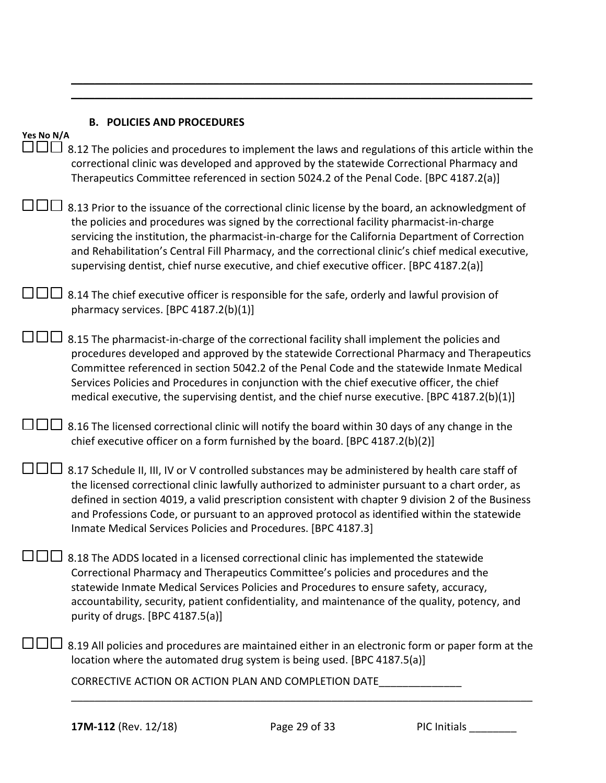| Yes No N/A | <b>B. POLICIES AND PROCEDURES</b>                                                                                                                                                                                                                                                                                                                                                                                                                                                                 |
|------------|---------------------------------------------------------------------------------------------------------------------------------------------------------------------------------------------------------------------------------------------------------------------------------------------------------------------------------------------------------------------------------------------------------------------------------------------------------------------------------------------------|
|            | 8.12 The policies and procedures to implement the laws and regulations of this article within the<br>correctional clinic was developed and approved by the statewide Correctional Pharmacy and<br>Therapeutics Committee referenced in section 5024.2 of the Penal Code. [BPC 4187.2(a)]                                                                                                                                                                                                          |
|            | 8.13 Prior to the issuance of the correctional clinic license by the board, an acknowledgment of<br>the policies and procedures was signed by the correctional facility pharmacist-in-charge<br>servicing the institution, the pharmacist-in-charge for the California Department of Correction<br>and Rehabilitation's Central Fill Pharmacy, and the correctional clinic's chief medical executive,<br>supervising dentist, chief nurse executive, and chief executive officer. [BPC 4187.2(a)] |
|            | 8.14 The chief executive officer is responsible for the safe, orderly and lawful provision of<br>pharmacy services. [BPC 4187.2(b)(1)]                                                                                                                                                                                                                                                                                                                                                            |
|            | 8.15 The pharmacist-in-charge of the correctional facility shall implement the policies and<br>procedures developed and approved by the statewide Correctional Pharmacy and Therapeutics<br>Committee referenced in section 5042.2 of the Penal Code and the statewide Inmate Medical<br>Services Policies and Procedures in conjunction with the chief executive officer, the chief<br>medical executive, the supervising dentist, and the chief nurse executive. [BPC 4187.2(b)(1)]             |
|            | 8.16 The licensed correctional clinic will notify the board within 30 days of any change in the<br>chief executive officer on a form furnished by the board. [BPC 4187.2(b)(2)]                                                                                                                                                                                                                                                                                                                   |
|            | 8.17 Schedule II, III, IV or V controlled substances may be administered by health care staff of<br>the licensed correctional clinic lawfully authorized to administer pursuant to a chart order, as<br>defined in section 4019, a valid prescription consistent with chapter 9 division 2 of the Business<br>and Professions Code, or pursuant to an approved protocol as identified within the statewide<br>Inmate Medical Services Policies and Procedures. [BPC 4187.3]                       |
|            | 8.18 The ADDS located in a licensed correctional clinic has implemented the statewide<br>Correctional Pharmacy and Therapeutics Committee's policies and procedures and the<br>statewide Inmate Medical Services Policies and Procedures to ensure safety, accuracy,<br>accountability, security, patient confidentiality, and maintenance of the quality, potency, and<br>purity of drugs. [BPC 4187.5(a)]                                                                                       |
|            | 8.19 All policies and procedures are maintained either in an electronic form or paper form at the<br>location where the automated drug system is being used. [BPC 4187.5(a)]                                                                                                                                                                                                                                                                                                                      |
|            | CORRECTIVE ACTION OR ACTION PLAN AND COMPLETION DATE                                                                                                                                                                                                                                                                                                                                                                                                                                              |

 $\mathcal{L}_\mathcal{L} = \mathcal{L}_\mathcal{L} = \mathcal{L}_\mathcal{L} = \mathcal{L}_\mathcal{L} = \mathcal{L}_\mathcal{L} = \mathcal{L}_\mathcal{L} = \mathcal{L}_\mathcal{L} = \mathcal{L}_\mathcal{L} = \mathcal{L}_\mathcal{L} = \mathcal{L}_\mathcal{L} = \mathcal{L}_\mathcal{L} = \mathcal{L}_\mathcal{L} = \mathcal{L}_\mathcal{L} = \mathcal{L}_\mathcal{L} = \mathcal{L}_\mathcal{L} = \mathcal{L}_\mathcal{L} = \mathcal{L}_\mathcal{L}$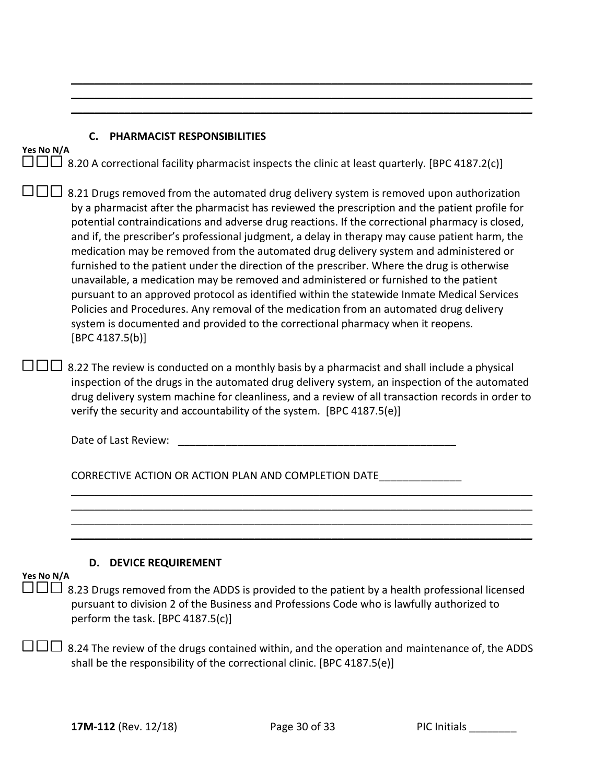#### **C. PHARMACIST RESPONSIBILITIES**

| 153 190 197 A |                                                                                                                                                                                                                                                                                                                                                                                                                                                                                                                                                                                                                                                                                                                                                                                                                                                                                                                                                                                 |
|---------------|---------------------------------------------------------------------------------------------------------------------------------------------------------------------------------------------------------------------------------------------------------------------------------------------------------------------------------------------------------------------------------------------------------------------------------------------------------------------------------------------------------------------------------------------------------------------------------------------------------------------------------------------------------------------------------------------------------------------------------------------------------------------------------------------------------------------------------------------------------------------------------------------------------------------------------------------------------------------------------|
|               | 8.20 A correctional facility pharmacist inspects the clinic at least quarterly. [BPC 4187.2(c)]                                                                                                                                                                                                                                                                                                                                                                                                                                                                                                                                                                                                                                                                                                                                                                                                                                                                                 |
|               | 8.21 Drugs removed from the automated drug delivery system is removed upon authorization<br>by a pharmacist after the pharmacist has reviewed the prescription and the patient profile for<br>potential contraindications and adverse drug reactions. If the correctional pharmacy is closed,<br>and if, the prescriber's professional judgment, a delay in therapy may cause patient harm, the<br>medication may be removed from the automated drug delivery system and administered or<br>furnished to the patient under the direction of the prescriber. Where the drug is otherwise<br>unavailable, a medication may be removed and administered or furnished to the patient<br>pursuant to an approved protocol as identified within the statewide Inmate Medical Services<br>Policies and Procedures. Any removal of the medication from an automated drug delivery<br>system is documented and provided to the correctional pharmacy when it reopens.<br>[BPC 4187.5(b)] |

 $\mathcal{L}_\mathcal{L} = \mathcal{L}_\mathcal{L} = \mathcal{L}_\mathcal{L} = \mathcal{L}_\mathcal{L} = \mathcal{L}_\mathcal{L} = \mathcal{L}_\mathcal{L} = \mathcal{L}_\mathcal{L} = \mathcal{L}_\mathcal{L} = \mathcal{L}_\mathcal{L} = \mathcal{L}_\mathcal{L} = \mathcal{L}_\mathcal{L} = \mathcal{L}_\mathcal{L} = \mathcal{L}_\mathcal{L} = \mathcal{L}_\mathcal{L} = \mathcal{L}_\mathcal{L} = \mathcal{L}_\mathcal{L} = \mathcal{L}_\mathcal{L}$  $\mathcal{L}_\mathcal{L} = \mathcal{L}_\mathcal{L} = \mathcal{L}_\mathcal{L} = \mathcal{L}_\mathcal{L} = \mathcal{L}_\mathcal{L} = \mathcal{L}_\mathcal{L} = \mathcal{L}_\mathcal{L} = \mathcal{L}_\mathcal{L} = \mathcal{L}_\mathcal{L} = \mathcal{L}_\mathcal{L} = \mathcal{L}_\mathcal{L} = \mathcal{L}_\mathcal{L} = \mathcal{L}_\mathcal{L} = \mathcal{L}_\mathcal{L} = \mathcal{L}_\mathcal{L} = \mathcal{L}_\mathcal{L} = \mathcal{L}_\mathcal{L}$  $\mathcal{L}_\mathcal{L} = \mathcal{L}_\mathcal{L} = \mathcal{L}_\mathcal{L} = \mathcal{L}_\mathcal{L} = \mathcal{L}_\mathcal{L} = \mathcal{L}_\mathcal{L} = \mathcal{L}_\mathcal{L} = \mathcal{L}_\mathcal{L} = \mathcal{L}_\mathcal{L} = \mathcal{L}_\mathcal{L} = \mathcal{L}_\mathcal{L} = \mathcal{L}_\mathcal{L} = \mathcal{L}_\mathcal{L} = \mathcal{L}_\mathcal{L} = \mathcal{L}_\mathcal{L} = \mathcal{L}_\mathcal{L} = \mathcal{L}_\mathcal{L}$ 

| $\Box$ 8.22 The review is conducted on a monthly basis by a pharmacist and shall include a physical |
|-----------------------------------------------------------------------------------------------------|
| inspection of the drugs in the automated drug delivery system, an inspection of the automated       |
| drug delivery system machine for cleanliness, and a review of all transaction records in order to   |
| verify the security and accountability of the system. [BPC 4187.5(e)]                               |

| Date of Last Review: |  |
|----------------------|--|
|                      |  |

CORRECTIVE ACTION OR ACTION PLAN AND COMPLETION DATE\_\_\_\_\_\_\_\_\_\_\_\_\_\_\_\_

### **D. DEVICE REQUIREMENT**

### **Yes No N/A**

**Yes No N/A**

 8.23 Drugs rem oved from the ADDS is provided to the patient by a health professional licensed pursuant to division 2 of the Business and Professions Code who is lawfully authorized to perform the task. [BPC 4187.5(c)]

\_\_\_\_\_\_\_\_\_\_\_\_\_\_\_\_\_\_\_\_\_\_\_\_\_\_\_\_\_\_\_\_\_\_\_\_\_\_\_\_\_\_\_\_\_\_\_\_\_\_\_\_\_\_\_\_\_\_\_\_\_\_\_\_\_\_\_\_\_\_\_\_\_\_\_\_\_\_ \_\_\_\_\_\_\_\_\_\_\_\_\_\_\_\_\_\_\_\_\_\_\_\_\_\_\_\_\_\_\_\_\_\_\_\_\_\_\_\_\_\_\_\_\_\_\_\_\_\_\_\_\_\_\_\_\_\_\_\_\_\_\_\_\_\_\_\_\_\_\_\_\_\_\_\_\_\_ \_\_\_\_\_\_\_\_\_\_\_\_\_\_\_\_\_\_\_\_\_\_\_\_\_\_\_\_\_\_\_\_\_\_\_\_\_\_\_\_\_\_\_\_\_\_\_\_\_\_\_\_\_\_\_\_\_\_\_\_\_\_\_\_\_\_\_\_\_\_\_\_\_\_\_\_\_\_

 $\mathcal{L}_\mathcal{L} = \mathcal{L}_\mathcal{L} = \mathcal{L}_\mathcal{L} = \mathcal{L}_\mathcal{L} = \mathcal{L}_\mathcal{L} = \mathcal{L}_\mathcal{L} = \mathcal{L}_\mathcal{L} = \mathcal{L}_\mathcal{L} = \mathcal{L}_\mathcal{L} = \mathcal{L}_\mathcal{L} = \mathcal{L}_\mathcal{L} = \mathcal{L}_\mathcal{L} = \mathcal{L}_\mathcal{L} = \mathcal{L}_\mathcal{L} = \mathcal{L}_\mathcal{L} = \mathcal{L}_\mathcal{L} = \mathcal{L}_\mathcal{L}$ 

 $\square \square \square$  8.24 The review of the drugs contained within, and the operation and maintenance of, the ADDS shall be the responsibility of the correctional clinic. [BPC 4187.5(e)]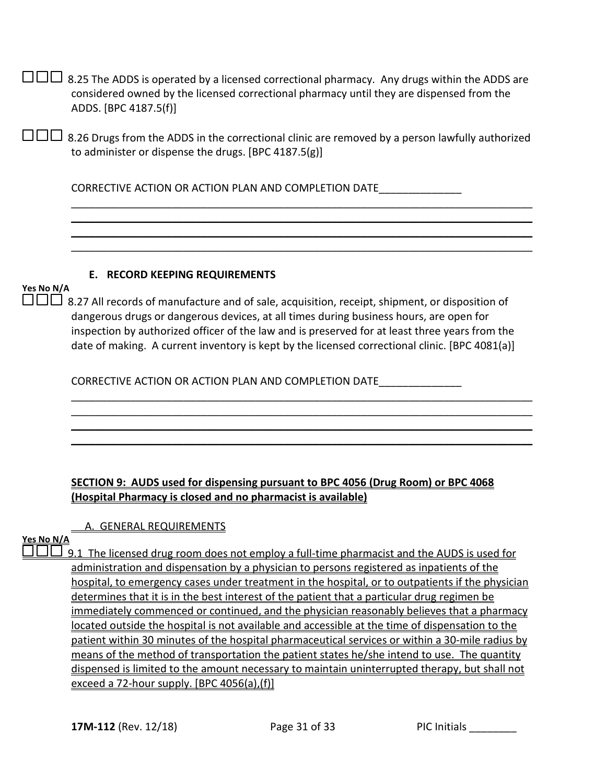|            | 8.25 The ADDS is operated by a licensed correctional pharmacy. Any drugs within the ADDS are<br>considered owned by the licensed correctional pharmacy until they are dispensed from the<br>ADDS. [BPC 4187.5(f)]                                                                                                                                                                            |
|------------|----------------------------------------------------------------------------------------------------------------------------------------------------------------------------------------------------------------------------------------------------------------------------------------------------------------------------------------------------------------------------------------------|
|            | 8.26 Drugs from the ADDS in the correctional clinic are removed by a person lawfully authorized<br>to administer or dispense the drugs. [BPC 4187.5(g)]                                                                                                                                                                                                                                      |
|            | CORRECTIVE ACTION OR ACTION PLAN AND COMPLETION DATE                                                                                                                                                                                                                                                                                                                                         |
|            |                                                                                                                                                                                                                                                                                                                                                                                              |
|            |                                                                                                                                                                                                                                                                                                                                                                                              |
|            |                                                                                                                                                                                                                                                                                                                                                                                              |
| Yes No N/A | <b>E. RECORD KEEPING REQUIREMENTS</b>                                                                                                                                                                                                                                                                                                                                                        |
|            | 8.27 All records of manufacture and of sale, acquisition, receipt, shipment, or disposition of<br>dangerous drugs or dangerous devices, at all times during business hours, are open for<br>inspection by authorized officer of the law and is preserved for at least three years from the<br>date of making. A current inventory is kept by the licensed correctional clinic. [BPC 4081(a)] |

### **SECTION 9: AUDS used for dispensing pursuant to BPC 4056 (Drug Room) or BPC 4068 (Hospital Pharmacy is closed and no pharmacist is available)**

\_\_\_\_\_\_\_\_\_\_\_\_\_\_\_\_\_\_\_\_\_\_\_\_\_\_\_\_\_\_\_\_\_\_\_\_\_\_\_\_\_\_\_\_\_\_\_\_\_\_\_\_\_\_\_\_\_\_\_\_\_\_\_\_\_\_\_\_\_\_\_\_\_\_\_\_\_\_ \_\_\_\_\_\_\_\_\_\_\_\_\_\_\_\_\_\_\_\_\_\_\_\_\_\_\_\_\_\_\_\_\_\_\_\_\_\_\_\_\_\_\_\_\_\_\_\_\_\_\_\_\_\_\_\_\_\_\_\_\_\_\_\_\_\_\_\_\_\_\_\_\_\_\_\_\_\_ \_\_\_\_\_\_\_\_\_\_\_\_\_\_\_\_\_\_\_\_\_\_\_\_\_\_\_\_\_\_\_\_\_\_\_\_\_\_\_\_\_\_\_\_\_\_\_\_\_\_\_\_\_\_\_\_\_\_\_\_\_\_\_\_\_\_\_\_\_\_\_\_\_\_\_\_\_\_

### A. GENERAL REQUIREMENTS

### **Yes No N/A**

 $\Box$  9.1 The licensed drug room does not employ a full-time pharmacist and the AUDS is used for administration and dispensation by a physician to persons registered as inpatients of the hospital, to emergency cases under treatment in the hospital, or to outpatients if the physician determines that it is in the best interest of the patient that a particular drug regimen be immediately commenced or continued, and the physician reasonably believes that a pharmacy located outside the hospital is not available and accessible at the time of dispensation to the patient within 30 minutes of the hospital pharmaceutical services or within a 30-mile radius by means of the method of transportation the patient states he/she intend to use. The quantity dispensed is limited to the amount necessary to maintain uninterrupted therapy, but shall not exceed a 72-hour supply. [BPC 4056(a),(f)]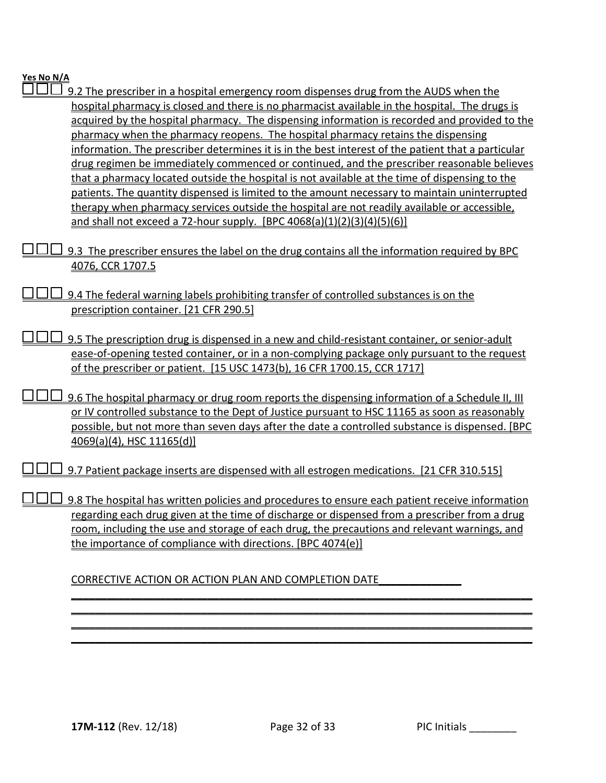| 9.2 The prescriber in a hospital emergency room dispenses drug from the AUDS when the              |
|----------------------------------------------------------------------------------------------------|
| hospital pharmacy is closed and there is no pharmacist available in the hospital. The drugs is     |
| acquired by the hospital pharmacy. The dispensing information is recorded and provided to the      |
| pharmacy when the pharmacy reopens. The hospital pharmacy retains the dispensing                   |
| information. The prescriber determines it is in the best interest of the patient that a particular |
| drug regimen be immediately commenced or continued, and the prescriber reasonable believes         |
| that a pharmacy located outside the hospital is not available at the time of dispensing to the     |
| patients. The quantity dispensed is limited to the amount necessary to maintain uninterrupted      |
| therapy when pharmacy services outside the hospital are not readily available or accessible,       |
| and shall not exceed a 72-hour supply. [BPC 4068(a)(1)(2)(3)(4)(5)(6)]                             |
|                                                                                                    |
| 9.3 The prescriber ensures the label on the drug contains all the information required by BPC      |
| 4076, CCR 1707.5                                                                                   |
| 9.4 The federal warning labels prohibiting transfer of controlled substances is on the             |
| prescription container. [21 CFR 290.5]                                                             |
|                                                                                                    |
| 9.5 The prescription drug is dispensed in a new and child-resistant container, or senior-adult     |
| ease-of-opening tested container, or in a non-complying package only pursuant to the request       |
| of the prescriber or patient. [15 USC 1473(b), 16 CFR 1700.15, CCR 1717]                           |
|                                                                                                    |
| 9.6 The hospital pharmacy or drug room reports the dispensing information of a Schedule II, III    |
| or IV controlled substance to the Dept of Justice pursuant to HSC 11165 as soon as reasonably      |
| possible, but not more than seven days after the date a controlled substance is dispensed. [BPC    |
| $4069(a)(4)$ , HSC 11165(d)                                                                        |
|                                                                                                    |
| 9.7 Patient package inserts are dispensed with all estrogen medications. [21 CFR 310.515]          |
| 9.8 The hospital has written policies and procedures to ensure each patient receive information    |
| regarding each drug given at the time of discharge or dispensed from a prescriber from a drug      |
| room, including the use and storage of each drug, the precautions and relevant warnings, and       |
| the importance of compliance with directions. [BPC 4074(e)]                                        |
|                                                                                                    |
|                                                                                                    |
| CORRECTIVE ACTION OR ACTION PLAN AND COMPLETION DATE                                               |
|                                                                                                    |
|                                                                                                    |
|                                                                                                    |
|                                                                                                    |
|                                                                                                    |